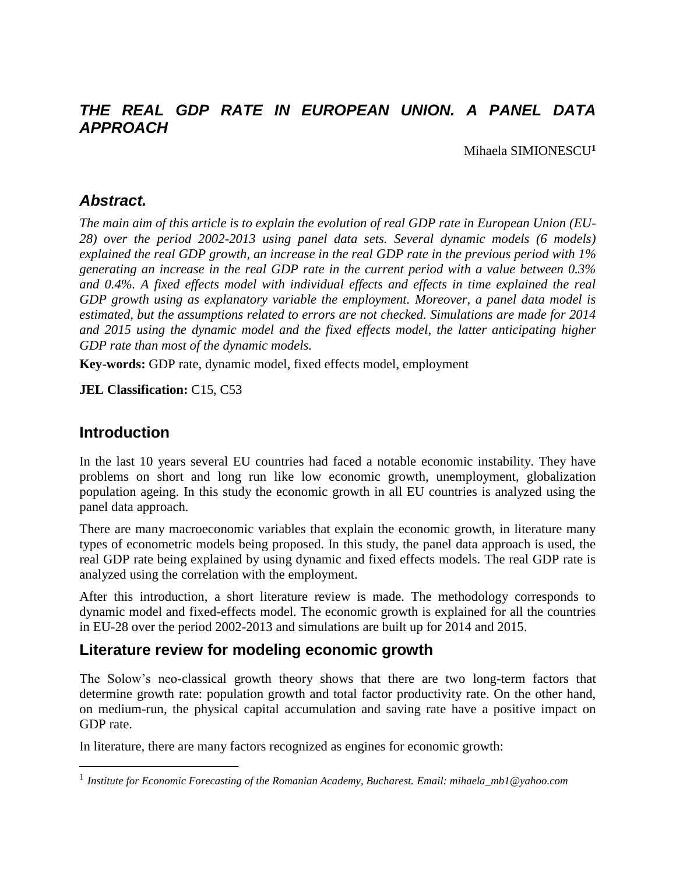## *THE REAL GDP RATE IN EUROPEAN UNION. A PANEL DATA APPROACH*

Mihaela SIMIONESCU**<sup>1</sup>**

#### *Abstract.*

*The main aim of this article is to explain the evolution of real GDP rate in European Union (EU-28) over the period 2002-2013 using panel data sets. Several dynamic models (6 models) explained the real GDP growth, an increase in the real GDP rate in the previous period with 1% generating an increase in the real GDP rate in the current period with a value between 0.3% and 0.4%. A fixed effects model with individual effects and effects in time explained the real GDP growth using as explanatory variable the employment. Moreover, a panel data model is estimated, but the assumptions related to errors are not checked. Simulations are made for 2014 and 2015 using the dynamic model and the fixed effects model, the latter anticipating higher GDP rate than most of the dynamic models.* 

**Key-words:** GDP rate, dynamic model, fixed effects model, employment

**JEL Classification:** C15, C53

### **Introduction**

 $\overline{a}$ 

In the last 10 years several EU countries had faced a notable economic instability. They have problems on short and long run like low economic growth, unemployment, globalization population ageing. In this study the economic growth in all EU countries is analyzed using the panel data approach.

There are many macroeconomic variables that explain the economic growth, in literature many types of econometric models being proposed. In this study, the panel data approach is used, the real GDP rate being explained by using dynamic and fixed effects models. The real GDP rate is analyzed using the correlation with the employment.

After this introduction, a short literature review is made. The methodology corresponds to dynamic model and fixed-effects model. The economic growth is explained for all the countries in EU-28 over the period 2002-2013 and simulations are built up for 2014 and 2015.

#### **Literature review for modeling economic growth**

The Solow's neo-classical growth theory shows that there are two long-term factors that determine growth rate: population growth and total factor productivity rate. On the other hand, on medium-run, the physical capital accumulation and saving rate have a positive impact on GDP rate.

In literature, there are many factors recognized as engines for economic growth:

<sup>1</sup> *Institute for Economic Forecasting of the Romanian Academy, Bucharest. Email: mihaela\_mb1@yahoo.com*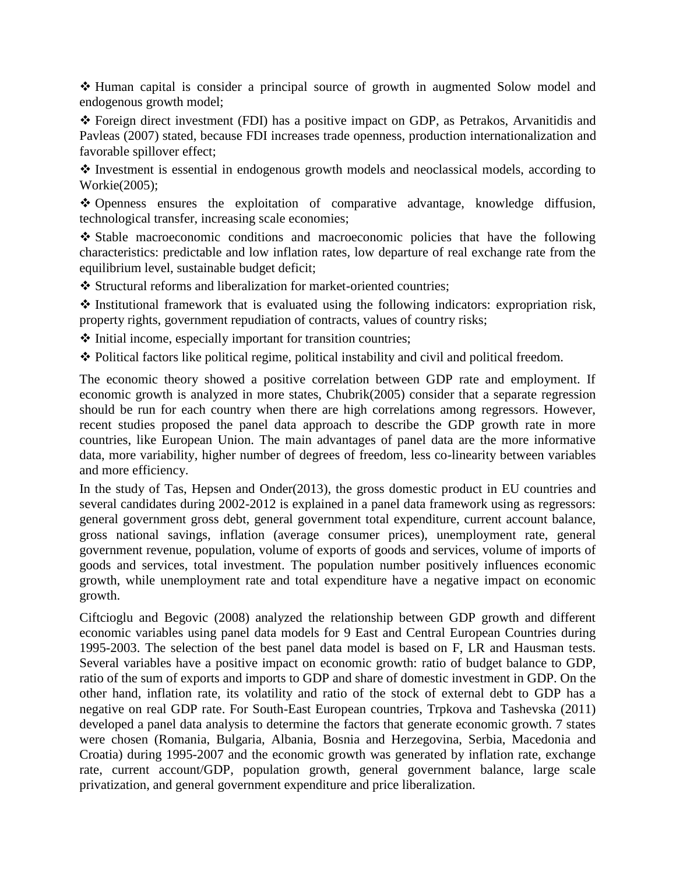$\div$  Human capital is consider a principal source of growth in augmented Solow model and endogenous growth model;

 Foreign direct investment (FDI) has a positive impact on GDP, as Petrakos, Arvanitidis and Pavleas (2007) stated, because FDI increases trade openness, production internationalization and favorable spillover effect;

 $\cdot$  Investment is essential in endogenous growth models and neoclassical models, according to Workie(2005);

 Openness ensures the exploitation of comparative advantage, knowledge diffusion, technological transfer, increasing scale economies;

 Stable macroeconomic conditions and macroeconomic policies that have the following characteristics: predictable and low inflation rates, low departure of real exchange rate from the equilibrium level, sustainable budget deficit;

Structural reforms and liberalization for market-oriented countries;

 $\cdot$  Institutional framework that is evaluated using the following indicators: expropriation risk, property rights, government repudiation of contracts, values of country risks;

 $\triangle$  Initial income, especially important for transition countries;

Political factors like political regime, political instability and civil and political freedom.

The economic theory showed a positive correlation between GDP rate and employment. If economic growth is analyzed in more states, Chubrik(2005) consider that a separate regression should be run for each country when there are high correlations among regressors. However, recent studies proposed the panel data approach to describe the GDP growth rate in more countries, like European Union. The main advantages of panel data are the more informative data, more variability, higher number of degrees of freedom, less co-linearity between variables and more efficiency.

In the study of Tas, Hepsen and Onder(2013), the gross domestic product in EU countries and several candidates during 2002-2012 is explained in a panel data framework using as regressors: general government gross debt, general government total expenditure, current account balance, gross national savings, inflation (average consumer prices), unemployment rate, general government revenue, population, volume of exports of goods and services, volume of imports of goods and services, total investment. The population number positively influences economic growth, while unemployment rate and total expenditure have a negative impact on economic growth.

Ciftcioglu and Begovic (2008) analyzed the relationship between GDP growth and different economic variables using panel data models for 9 East and Central European Countries during 1995-2003. The selection of the best panel data model is based on F, LR and Hausman tests. Several variables have a positive impact on economic growth: ratio of budget balance to GDP, ratio of the sum of exports and imports to GDP and share of domestic investment in GDP. On the other hand, inflation rate, its volatility and ratio of the stock of external debt to GDP has a negative on real GDP rate. For South-East European countries, Trpkova and Tashevska (2011) developed a panel data analysis to determine the factors that generate economic growth. 7 states were chosen (Romania, Bulgaria, Albania, Bosnia and Herzegovina, Serbia, Macedonia and Croatia) during 1995-2007 and the economic growth was generated by inflation rate, exchange rate, current account/GDP, population growth, general government balance, large scale privatization, and general government expenditure and price liberalization.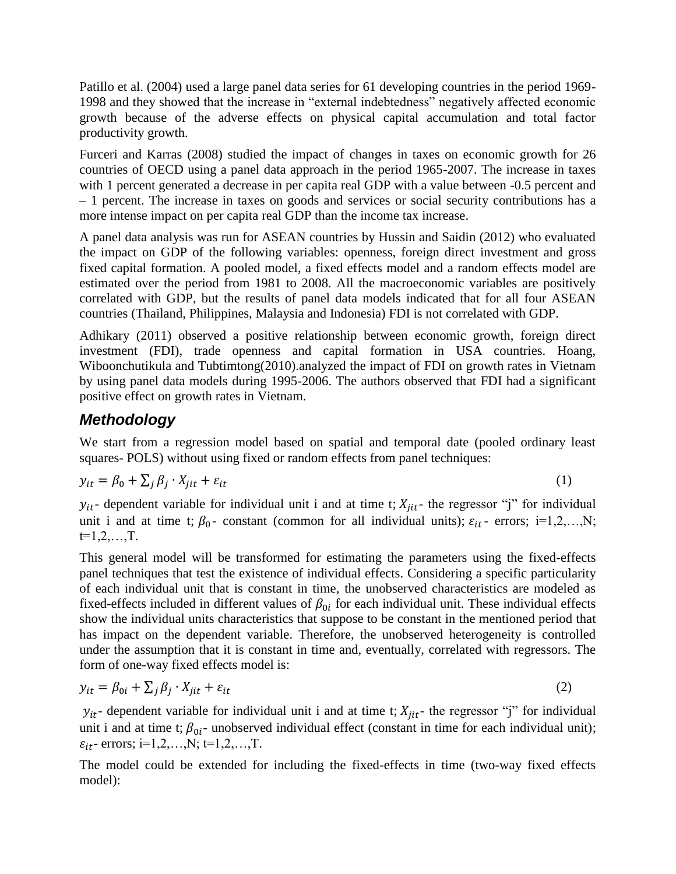Patillo et al. (2004) used a large panel data series for 61 developing countries in the period 1969- 1998 and they showed that the increase in "external indebtedness" negatively affected economic growth because of the adverse effects on physical capital accumulation and total factor productivity growth.

Furceri and Karras (2008) studied the impact of changes in taxes on economic growth for 26 countries of OECD using a panel data approach in the period 1965-2007. The increase in taxes with 1 percent generated a decrease in per capita real GDP with a value between  $-0.5$  percent and – 1 percent. The increase in taxes on goods and services or social security contributions has a more intense impact on per capita real GDP than the income tax increase.

A panel data analysis was run for ASEAN countries by Hussin and Saidin (2012) who evaluated the impact on GDP of the following variables: openness, foreign direct investment and gross fixed capital formation. A pooled model, a fixed effects model and a random effects model are estimated over the period from 1981 to 2008. All the macroeconomic variables are positively correlated with GDP, but the results of panel data models indicated that for all four ASEAN countries (Thailand, Philippines, Malaysia and Indonesia) FDI is not correlated with GDP.

Adhikary (2011) observed a positive relationship between economic growth, foreign direct investment (FDI), trade openness and capital formation in USA countries. Hoang, Wiboonchutikula and Tubtimtong(2010).analyzed the impact of FDI on growth rates in Vietnam by using panel data models during 1995-2006. The authors observed that FDI had a significant positive effect on growth rates in Vietnam.

### *Methodology*

We start from a regression model based on spatial and temporal date (pooled ordinary least squares- POLS) without using fixed or random effects from panel techniques:

$$
y_{it} = \beta_0 + \sum_j \beta_j \cdot X_{jit} + \varepsilon_{it} \tag{1}
$$

 $y_{it}$ - dependent variable for individual unit i and at time t;  $X_{iit}$ - the regressor "j" for individual unit i and at time t;  $\beta_0$ - constant (common for all individual units);  $\varepsilon_{it}$ - errors; i=1,2,...,N;  $t=1,2,...,T$ .

This general model will be transformed for estimating the parameters using the fixed-effects panel techniques that test the existence of individual effects. Considering a specific particularity of each individual unit that is constant in time, the unobserved characteristics are modeled as fixed-effects included in different values of  $\beta_{0i}$  for each individual unit. These individual effects show the individual units characteristics that suppose to be constant in the mentioned period that has impact on the dependent variable. Therefore, the unobserved heterogeneity is controlled under the assumption that it is constant in time and, eventually, correlated with regressors. The form of one-way fixed effects model is:

$$
y_{it} = \beta_{0i} + \sum_{j} \beta_j \cdot X_{jit} + \varepsilon_{it} \tag{2}
$$

 $y_{it}$ - dependent variable for individual unit i and at time t;  $X_{jit}$ - the regressor "j" for individual unit i and at time t;  $\beta_{0i}$ - unobserved individual effect (constant in time for each individual unit);  $\varepsilon_{it}$ - errors; i=1,2,...,N; t=1,2,...,T.

The model could be extended for including the fixed-effects in time (two-way fixed effects model):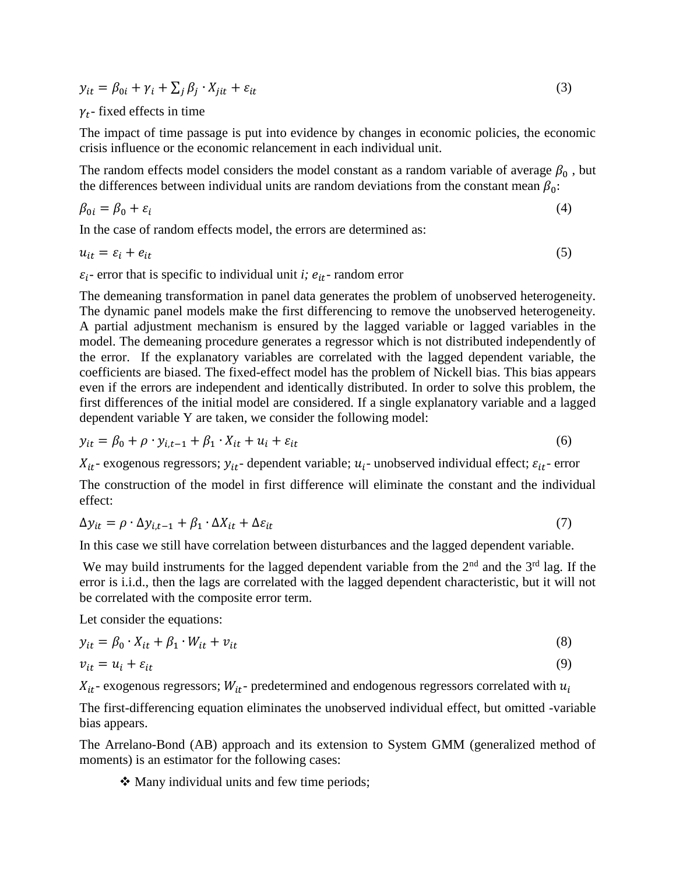$y_{it} = \beta_{0i} + \gamma_i + \sum_j \beta_j \cdot X_{jit} + \varepsilon_{it}$  (3)

#### $\gamma_t$ - fixed effects in time

The impact of time passage is put into evidence by changes in economic policies, the economic crisis influence or the economic relancement in each individual unit.

The random effects model considers the model constant as a random variable of average  $\beta_0$ , but the differences between individual units are random deviations from the constant mean  $\beta_0$ :

$$
\beta_{0i} = \beta_0 + \varepsilon_i \tag{4}
$$

In the case of random effects model, the errors are determined as:

 $u_{it} = \varepsilon_i + e_{it}$  (5)

 $\varepsilon_i$ - error that is specific to individual unit *i;*  $e_{it}$ - random error

The demeaning transformation in panel data generates the problem of unobserved heterogeneity. The dynamic panel models make the first differencing to remove the unobserved heterogeneity. A partial adjustment mechanism is ensured by the lagged variable or lagged variables in the model. The demeaning procedure generates a regressor which is not distributed independently of the error. If the explanatory variables are correlated with the lagged dependent variable, the coefficients are biased. The fixed-effect model has the problem of Nickell bias. This bias appears even if the errors are independent and identically distributed. In order to solve this problem, the first differences of the initial model are considered. If a single explanatory variable and a lagged dependent variable Y are taken, we consider the following model:

$$
y_{it} = \beta_0 + \rho \cdot y_{i,t-1} + \beta_1 \cdot X_{it} + u_i + \varepsilon_{it}
$$
\n
$$
\tag{6}
$$

 $X_{it}$ - exogenous regressors;  $y_{it}$ - dependent variable;  $u_i$ - unobserved individual effect;  $\varepsilon_{it}$ - error

The construction of the model in first difference will eliminate the constant and the individual effect:

$$
\Delta y_{it} = \rho \cdot \Delta y_{i,t-1} + \beta_1 \cdot \Delta X_{it} + \Delta \varepsilon_{it}
$$
\n<sup>(7)</sup>

In this case we still have correlation between disturbances and the lagged dependent variable.

We may build instruments for the lagged dependent variable from the  $2<sup>nd</sup>$  and the  $3<sup>rd</sup>$  lag. If the error is i.i.d., then the lags are correlated with the lagged dependent characteristic, but it will not be correlated with the composite error term.

Let consider the equations:

$$
y_{it} = \beta_0 \cdot X_{it} + \beta_1 \cdot W_{it} + v_{it} \tag{8}
$$

$$
v_{it} = u_i + \varepsilon_{it} \tag{9}
$$

 $X_{it}$ - exogenous regressors;  $W_{it}$ - predetermined and endogenous regressors correlated with  $u_i$ 

The first-differencing equation eliminates the unobserved individual effect, but omitted -variable bias appears.

The Arrelano-Bond (AB) approach and its extension to System GMM (generalized method of moments) is an estimator for the following cases:

• Many individual units and few time periods;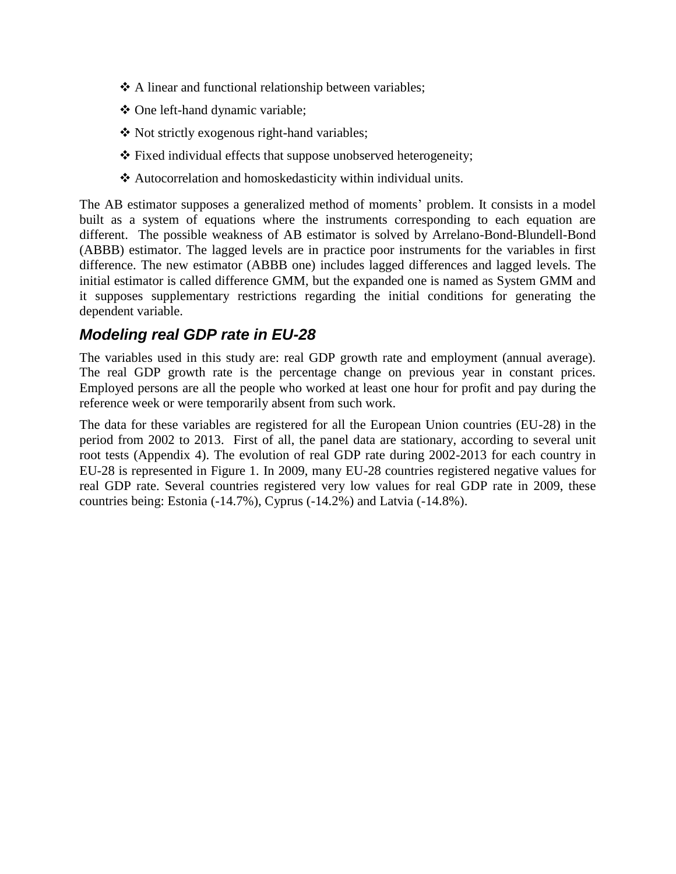- ❖ A linear and functional relationship between variables;
- One left-hand dynamic variable;
- Not strictly exogenous right-hand variables;
- \* Fixed individual effects that suppose unobserved heterogeneity;
- Autocorrelation and homoskedasticity within individual units.

The AB estimator supposes a generalized method of moments' problem. It consists in a model built as a system of equations where the instruments corresponding to each equation are different. The possible weakness of AB estimator is solved by Arrelano-Bond-Blundell-Bond (ABBB) estimator. The lagged levels are in practice poor instruments for the variables in first difference. The new estimator (ABBB one) includes lagged differences and lagged levels. The initial estimator is called difference GMM, but the expanded one is named as System GMM and it supposes supplementary restrictions regarding the initial conditions for generating the dependent variable.

### *Modeling real GDP rate in EU-28*

The variables used in this study are: real GDP growth rate and employment (annual average). The real GDP growth rate is the percentage change on previous year in constant prices. Employed persons are all the people who worked at least one hour for profit and pay during the reference week or were temporarily absent from such work.

The data for these variables are registered for all the European Union countries (EU-28) in the period from 2002 to 2013. First of all, the panel data are stationary, according to several unit root tests (Appendix 4). The evolution of real GDP rate during 2002-2013 for each country in EU-28 is represented in Figure 1. In 2009, many EU-28 countries registered negative values for real GDP rate. Several countries registered very low values for real GDP rate in 2009, these countries being: Estonia (-14.7%), Cyprus (-14.2%) and Latvia (-14.8%).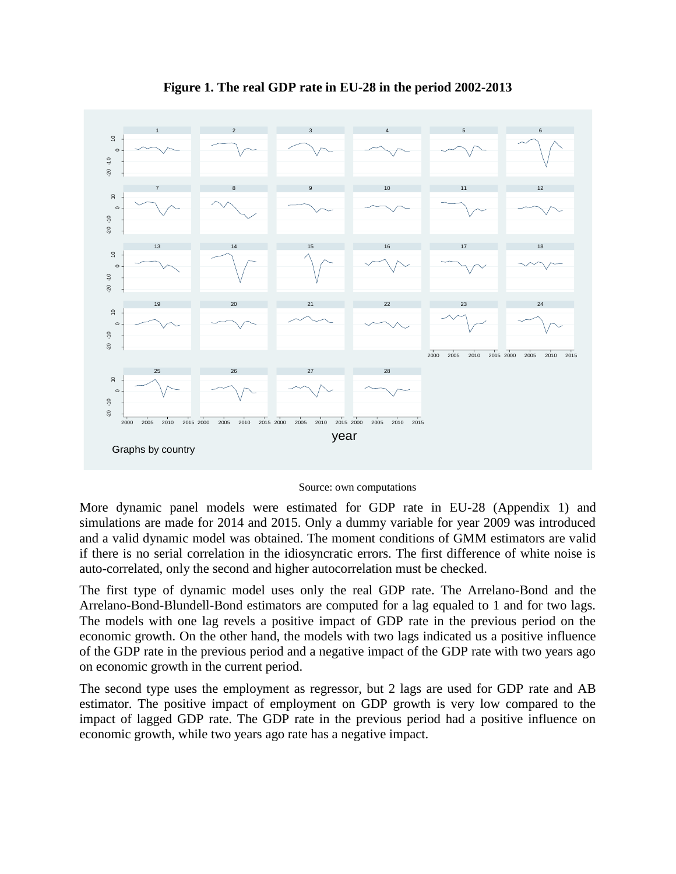

**Figure 1. The real GDP rate in EU-28 in the period 2002-2013**

#### Source: own computations

More dynamic panel models were estimated for GDP rate in EU-28 (Appendix 1) and simulations are made for 2014 and 2015. Only a dummy variable for year 2009 was introduced and a valid dynamic model was obtained. The moment conditions of GMM estimators are valid if there is no serial correlation in the idiosyncratic errors. The first difference of white noise is auto-correlated, only the second and higher autocorrelation must be checked.

The first type of dynamic model uses only the real GDP rate. The Arrelano-Bond and the Arrelano-Bond-Blundell-Bond estimators are computed for a lag equaled to 1 and for two lags. The models with one lag revels a positive impact of GDP rate in the previous period on the economic growth. On the other hand, the models with two lags indicated us a positive influence of the GDP rate in the previous period and a negative impact of the GDP rate with two years ago on economic growth in the current period.

The second type uses the employment as regressor, but 2 lags are used for GDP rate and AB estimator. The positive impact of employment on GDP growth is very low compared to the impact of lagged GDP rate. The GDP rate in the previous period had a positive influence on economic growth, while two years ago rate has a negative impact.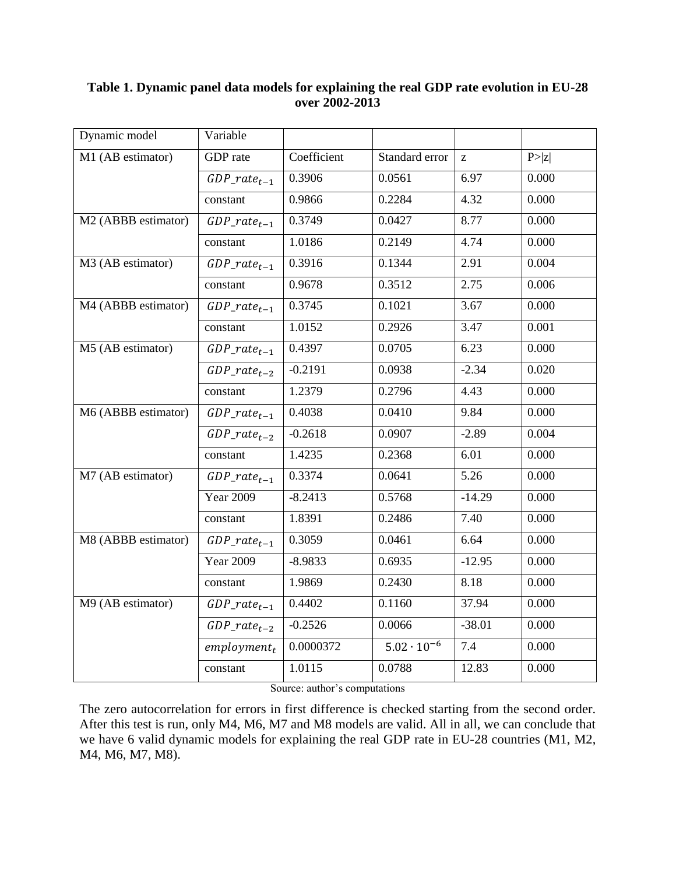| Dynamic model       | Variable          |             |                      |          |        |
|---------------------|-------------------|-------------|----------------------|----------|--------|
| M1 (AB estimator)   | GDP rate          | Coefficient | Standard error       | Z        | P >  z |
|                     | $GDP_rate_{t-1}$  | 0.3906      | 0.0561               | 6.97     | 0.000  |
|                     | constant          | 0.9866      | 0.2284               | 4.32     | 0.000  |
| M2 (ABBB estimator) | $GDP\_rate_{t-1}$ | 0.3749      | 0.0427               | 8.77     | 0.000  |
|                     | constant          | 1.0186      | 0.2149               | 4.74     | 0.000  |
| M3 (AB estimator)   | $GDP_rate_{t-1}$  | 0.3916      | 0.1344               | 2.91     | 0.004  |
|                     | constant          | 0.9678      | 0.3512               | 2.75     | 0.006  |
| M4 (ABBB estimator) | $GDP_rate_{t-1}$  | 0.3745      | 0.1021               | 3.67     | 0.000  |
|                     | constant          | 1.0152      | 0.2926               | 3.47     | 0.001  |
| M5 (AB estimator)   | $GDP_rate_{t-1}$  | 0.4397      | 0.0705               | 6.23     | 0.000  |
|                     | $GDP_rate_{t-2}$  | $-0.2191$   | 0.0938               | $-2.34$  | 0.020  |
|                     | constant          | 1.2379      | 0.2796               | 4.43     | 0.000  |
| M6 (ABBB estimator) | $GDP\_rate_{t-1}$ | 0.4038      | 0.0410               | 9.84     | 0.000  |
|                     | $GDP_rate_{t-2}$  | $-0.2618$   | 0.0907               | $-2.89$  | 0.004  |
|                     | constant          | 1.4235      | 0.2368               | 6.01     | 0.000  |
| M7 (AB estimator)   | $GDP\_rate_{t-1}$ | 0.3374      | 0.0641               | 5.26     | 0.000  |
|                     | <b>Year 2009</b>  | $-8.2413$   | 0.5768               | $-14.29$ | 0.000  |
|                     | constant          | 1.8391      | 0.2486               | 7.40     | 0.000  |
| M8 (ABBB estimator) | $GDP_rate_{t-1}$  | 0.3059      | 0.0461               | 6.64     | 0.000  |
|                     | <b>Year 2009</b>  | $-8.9833$   | 0.6935               | $-12.95$ | 0.000  |
|                     | constant          | 1.9869      | 0.2430               | 8.18     | 0.000  |
| M9 (AB estimator)   | $GDP\_rate_{t-1}$ | 0.4402      | 0.1160               | 37.94    | 0.000  |
|                     | $GDP_rate_{t-2}$  | $-0.2526$   | 0.0066               | $-38.01$ | 0.000  |
|                     | $employment_t$    | 0.0000372   | $5.02 \cdot 10^{-6}$ | 7.4      | 0.000  |
|                     | constant          | 1.0115      | 0.0788               | 12.83    | 0.000  |
|                     |                   |             |                      |          |        |

#### **Table 1. Dynamic panel data models for explaining the real GDP rate evolution in EU-28 over 2002-2013**

Source: author's computations

The zero autocorrelation for errors in first difference is checked starting from the second order. After this test is run, only M4, M6, M7 and M8 models are valid. All in all, we can conclude that we have 6 valid dynamic models for explaining the real GDP rate in EU-28 countries (M1, M2, M4, M6, M7, M8).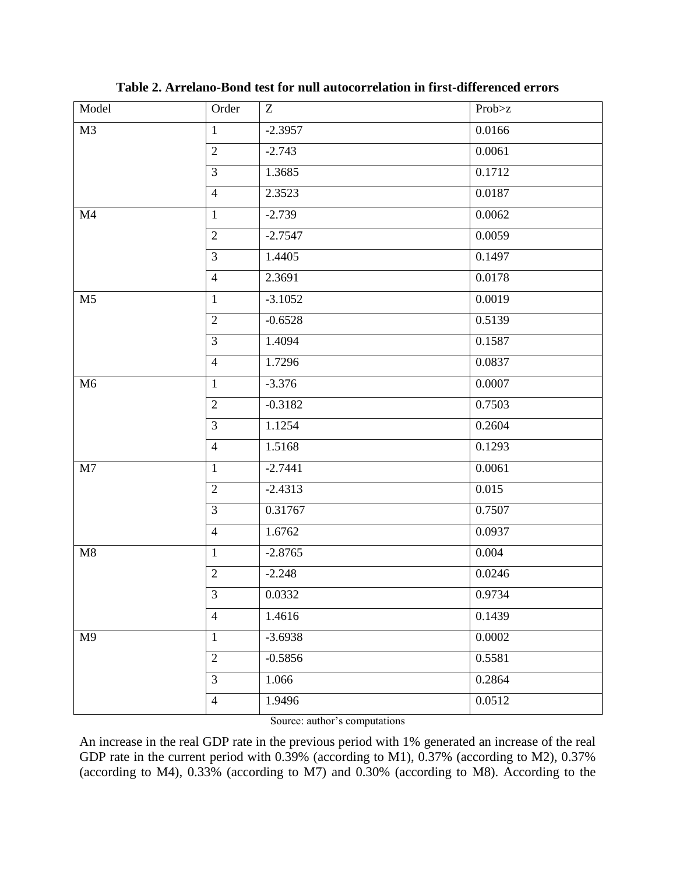| Model          | Order          | Z         | Prob>z |
|----------------|----------------|-----------|--------|
| M <sub>3</sub> | $\mathbf{1}$   | $-2.3957$ | 0.0166 |
|                | $\overline{2}$ | $-2.743$  | 0.0061 |
|                | $\mathfrak{Z}$ | 1.3685    | 0.1712 |
|                | $\overline{4}$ | 2.3523    | 0.0187 |
| M <sub>4</sub> | $\mathbf{1}$   | $-2.739$  | 0.0062 |
|                | $\overline{2}$ | $-2.7547$ | 0.0059 |
|                | $\overline{3}$ | 1.4405    | 0.1497 |
|                | $\overline{4}$ | 2.3691    | 0.0178 |
| M <sub>5</sub> | $\mathbf{1}$   | $-3.1052$ | 0.0019 |
|                | $\overline{2}$ | $-0.6528$ | 0.5139 |
|                | $\overline{3}$ | 1.4094    | 0.1587 |
|                | $\overline{4}$ | 1.7296    | 0.0837 |
| M6             | $\mathbf{1}$   | $-3.376$  | 0.0007 |
|                | $\overline{2}$ | $-0.3182$ | 0.7503 |
|                | $\overline{3}$ | 1.1254    | 0.2604 |
|                | $\overline{4}$ | 1.5168    | 0.1293 |
| M7             | $\mathbf{1}$   | $-2.7441$ | 0.0061 |
|                | $\overline{2}$ | $-2.4313$ | 0.015  |
|                | $\overline{3}$ | 0.31767   | 0.7507 |
|                | $\overline{4}$ | 1.6762    | 0.0937 |
| $\mathbf{M}8$  | $\mathbf{1}$   | $-2.8765$ | 0.004  |
|                | $\overline{2}$ | $-2.248$  | 0.0246 |
|                | $\overline{3}$ | 0.0332    | 0.9734 |
|                | $\overline{4}$ | 1.4616    | 0.1439 |
| M9             | $\mathbf{1}$   | $-3.6938$ | 0.0002 |
|                | $\overline{2}$ | $-0.5856$ | 0.5581 |
|                | $\overline{3}$ | 1.066     | 0.2864 |
|                | $\overline{4}$ | 1.9496    | 0.0512 |

**Table 2. Arrelano-Bond test for null autocorrelation in first-differenced errors**

Source: author's computations

An increase in the real GDP rate in the previous period with 1% generated an increase of the real GDP rate in the current period with 0.39% (according to M1), 0.37% (according to M2), 0.37% (according to M4), 0.33% (according to M7) and 0.30% (according to M8). According to the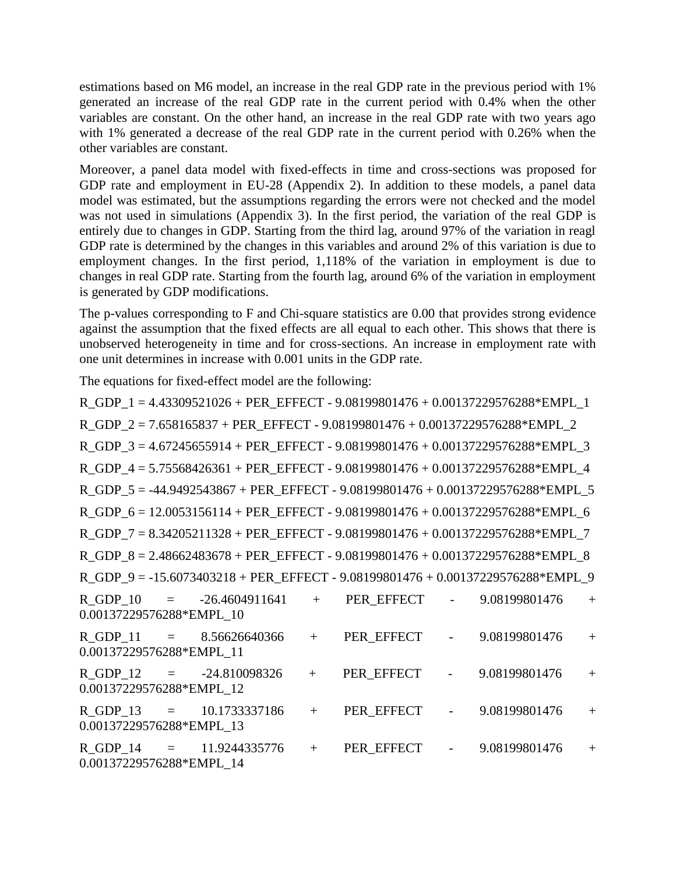estimations based on M6 model, an increase in the real GDP rate in the previous period with 1% generated an increase of the real GDP rate in the current period with 0.4% when the other variables are constant. On the other hand, an increase in the real GDP rate with two years ago with 1% generated a decrease of the real GDP rate in the current period with 0.26% when the other variables are constant.

Moreover, a panel data model with fixed-effects in time and cross-sections was proposed for GDP rate and employment in EU-28 (Appendix 2). In addition to these models, a panel data model was estimated, but the assumptions regarding the errors were not checked and the model was not used in simulations (Appendix 3). In the first period, the variation of the real GDP is entirely due to changes in GDP. Starting from the third lag, around 97% of the variation in reagl GDP rate is determined by the changes in this variables and around 2% of this variation is due to employment changes. In the first period, 1,118% of the variation in employment is due to changes in real GDP rate. Starting from the fourth lag, around 6% of the variation in employment is generated by GDP modifications.

The p-values corresponding to F and Chi-square statistics are 0.00 that provides strong evidence against the assumption that the fixed effects are all equal to each other. This shows that there is unobserved heterogeneity in time and for cross-sections. An increase in employment rate with one unit determines in increase with 0.001 units in the GDP rate.

The equations for fixed-effect model are the following:

R GDP  $1 = 4.43309521026 + PER EFFECT - 9.08199801476 + 0.00137229576288*EMPL 1$ R\_GDP\_2 = 7.658165837 + PER\_EFFECT - 9.08199801476 + 0.00137229576288\*EMPL\_2  $R_GDP_3 = 4.67245655914 + PER_EFFECT - 9.08199801476 + 0.00137229576288*EMPL_3$ R GDP  $4 = 5.75568426361 + PER EFFECT - 9.08199801476 + 0.00137229576288*EMPL 4$ R\_GDP\_5 = -44.9492543867 + PER\_EFFECT - 9.08199801476 + 0.00137229576288\*EMPL\_5 R GDP  $6 = 12.0053156114 + PER EFFECT - 9.08199801476 + 0.00137229576288*EMPL 6$ R\_GDP\_7 = 8.34205211328 + PER\_EFFECT - 9.08199801476 + 0.00137229576288\*EMPL\_7  $R_GDP_8 = 2.48662483678 + PER_EFFECT - 9.08199801476 + 0.00137229576288*EMPL_8$ R GDP  $9 = -15.6073403218 + PER EFFECT - 9.08199801476 + 0.00137229576288*EMPL$  9 R\_GDP\_10 = -26.4604911641 + PER\_EFFECT - 9.08199801476 + 0.00137229576288\*EMPL\_10 R\_GDP\_11 = 8.56626640366 + PER\_EFFECT - 9.08199801476 + 0.00137229576288\*EMPL\_11 R\_GDP\_12 = -24.810098326 + PER\_EFFECT - 9.08199801476 + 0.00137229576288\*EMPL\_12 R GDP 13 = 10.1733337186 + PER\_EFFECT - 9.08199801476 + 0.00137229576288\*EMPL\_13 R\_GDP\_14 = 11.9244335776 + PER\_EFFECT - 9.08199801476 + 0.00137229576288\*EMPL\_14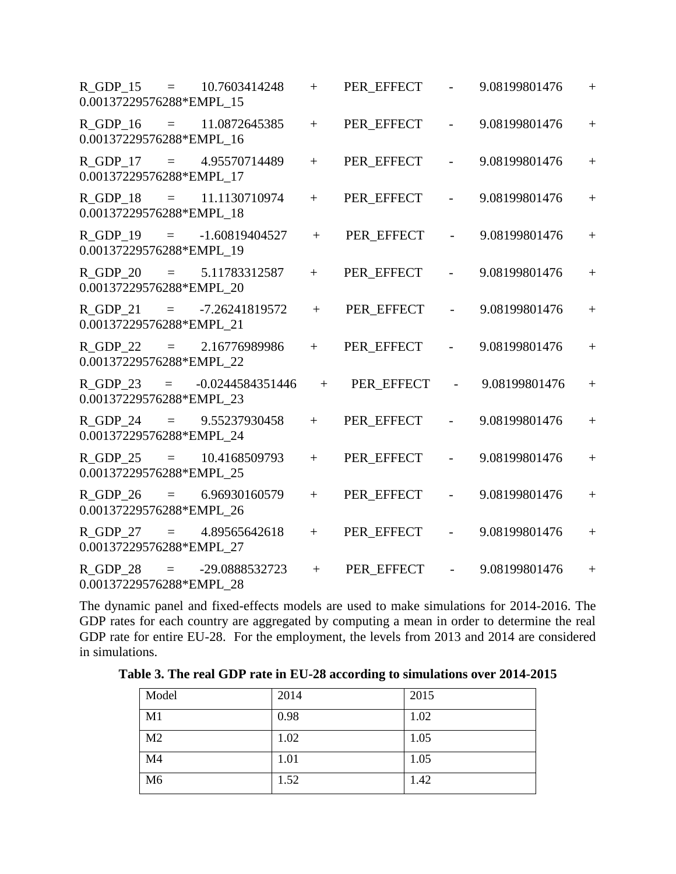| 0.00137229576288*EMPL_15                   |                     | R GDP $15 = 10.7603414248$  | $+$ | PER_EFFECT | $\overline{\phantom{0}}$ | 9.08199801476 | $+$               |
|--------------------------------------------|---------------------|-----------------------------|-----|------------|--------------------------|---------------|-------------------|
| 0.00137229576288*EMPL_16                   |                     | R GDP $16 = 11.0872645385$  | $+$ | PER_EFFECT |                          | 9.08199801476 | $\qquad \qquad +$ |
| $R$ GDP 17 =<br>0.00137229576288*EMPL_17   |                     | 4.95570714489               | $+$ | PER EFFECT | $\overline{\phantom{0}}$ | 9.08199801476 | $+$               |
| 0.00137229576288*EMPL_18                   |                     | R GDP $18 = 11.1130710974$  | $+$ | PER EFFECT |                          | 9.08199801476 | $+$               |
| 0.00137229576288*EMPL_19                   |                     | $R_GDP_19 = -1.60819404527$ | $+$ | PER_EFFECT |                          | 9.08199801476 | $+$               |
| $R$ GDP $_2$ 0<br>0.00137229576288*EMPL_20 |                     | $=$ 5.11783312587           | $+$ | PER_EFFECT | $\overline{\phantom{0}}$ | 9.08199801476 | $+$               |
| 0.00137229576288*EMPL 21                   |                     | R GDP 21 = $-7.26241819572$ | $+$ | PER_EFFECT |                          | 9.08199801476 | $+$               |
| R GDP 22<br>0.00137229576288*EMPL_22       | $\equiv$ $\equiv$   | 2.16776989986               | $+$ | PER_EFFECT | $\overline{a}$           | 9.08199801476 | $+$               |
| $R$ GDP_23 =<br>0.00137229576288*EMPL_23   |                     | -0.0244584351446            | $+$ | PER EFFECT |                          | 9.08199801476 | $+$               |
| 0.00137229576288*EMPL_24                   |                     | R GDP 24 = $9.55237930458$  | $+$ | PER EFFECT |                          | 9.08199801476 | $+$               |
| R GDP 25<br>0.00137229576288*EMPL_25       | $\equiv$ $\equiv$   | 10.4168509793               | $+$ | PER_EFFECT | $\overline{\phantom{0}}$ | 9.08199801476 | $+$               |
| $R$ GDP 26 $=$<br>0.00137229576288*EMPL_26 |                     | 6.96930160579               | $+$ | PER_EFFECT |                          | 9.08199801476 | $+$               |
| 0.00137229576288*EMPL_27                   |                     | R GDP $27 = 4.89565642618$  | $+$ | PER_EFFECT | $\overline{\phantom{0}}$ | 9.08199801476 | $+$               |
| R GDP 28<br>0.00137229576288*EMPL 28       | $\equiv$ 1000 $\pm$ | -29.0888532723              | $+$ | PER EFFECT | $\overline{a}$           | 9.08199801476 | $+$               |

The dynamic panel and fixed-effects models are used to make simulations for 2014-2016. The GDP rates for each country are aggregated by computing a mean in order to determine the real GDP rate for entire EU-28. For the employment, the levels from 2013 and 2014 are considered in simulations.

| Model          | 2014 | 2015 |
|----------------|------|------|
| M1             | 0.98 | 1.02 |
| M <sub>2</sub> | 1.02 | 1.05 |
| M <sub>4</sub> | 1.01 | 1.05 |
| M <sub>6</sub> | 1.52 | 1.42 |

**Table 3. The real GDP rate in EU-28 according to simulations over 2014-2015**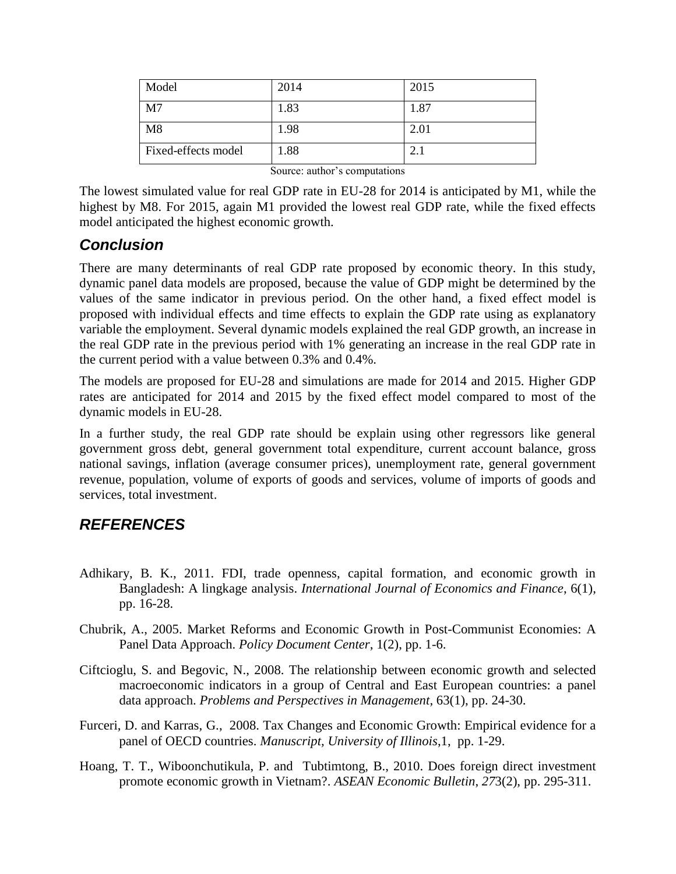| Model               | 2014 | 2015 |
|---------------------|------|------|
| M <sub>7</sub>      | 1.83 | 1.87 |
| M8                  | 1.98 | 2.01 |
| Fixed-effects model | 1.88 | 2.1  |

Source: author's computations

The lowest simulated value for real GDP rate in EU-28 for 2014 is anticipated by M1, while the highest by M8. For 2015, again M1 provided the lowest real GDP rate, while the fixed effects model anticipated the highest economic growth.

### *Conclusion*

There are many determinants of real GDP rate proposed by economic theory. In this study, dynamic panel data models are proposed, because the value of GDP might be determined by the values of the same indicator in previous period. On the other hand, a fixed effect model is proposed with individual effects and time effects to explain the GDP rate using as explanatory variable the employment. Several dynamic models explained the real GDP growth, an increase in the real GDP rate in the previous period with 1% generating an increase in the real GDP rate in the current period with a value between 0.3% and 0.4%.

The models are proposed for EU-28 and simulations are made for 2014 and 2015. Higher GDP rates are anticipated for 2014 and 2015 by the fixed effect model compared to most of the dynamic models in EU-28.

In a further study, the real GDP rate should be explain using other regressors like general government gross debt, general government total expenditure, current account balance, gross national savings, inflation (average consumer prices), unemployment rate, general government revenue, population, volume of exports of goods and services, volume of imports of goods and services, total investment.

# *REFERENCES*

- Adhikary, B. K., 2011. FDI, trade openness, capital formation, and economic growth in Bangladesh: A lingkage analysis. *International Journal of Economics and Finance*, 6(1), pp. 16-28.
- Chubrik, A., 2005. Market Reforms and Economic Growth in Post-Communist Economies: A Panel Data Approach. *Policy Document Center*, 1(2), pp. 1-6.
- Ciftcioglu, S. and Begovic, N., 2008. The relationship between economic growth and selected macroeconomic indicators in a group of Central and East European countries: a panel data approach. *Problems and Perspectives in Management*, 63(1), pp. 24-30.
- Furceri, D. and Karras, G., 2008. Tax Changes and Economic Growth: Empirical evidence for a panel of OECD countries. *Manuscript, University of Illinois*,1,pp. 1-29.
- Hoang, T. T., Wiboonchutikula, P. and Tubtimtong, B., 2010. Does foreign direct investment promote economic growth in Vietnam?. *ASEAN Economic Bulletin*, *27*3(2), pp. 295-311.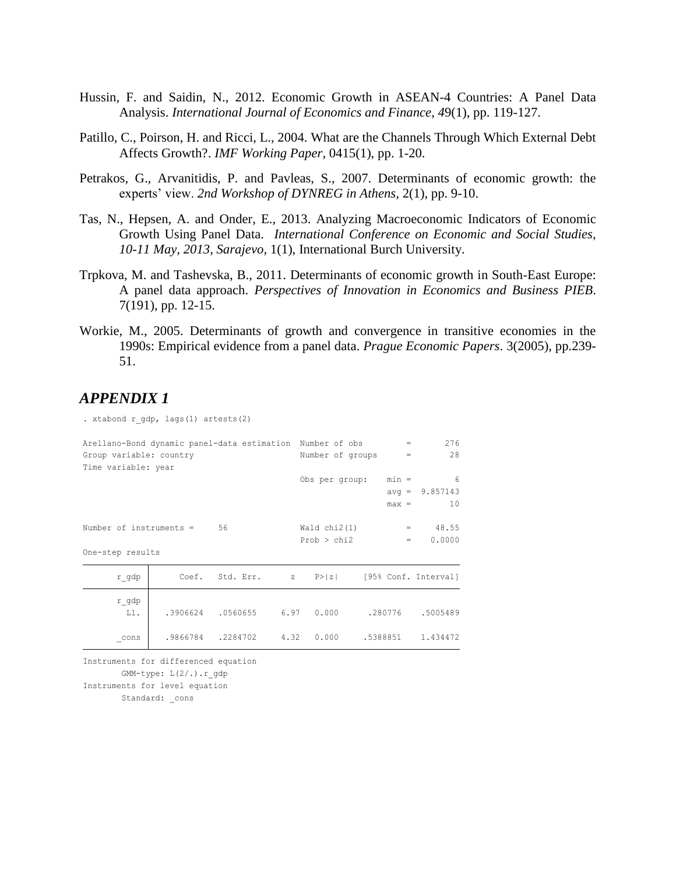- Hussin, F. and Saidin, N., 2012. Economic Growth in ASEAN-4 Countries: A Panel Data Analysis. *International Journal of Economics and Finance*, *4*9(1), pp. 119-127.
- Patillo, C., Poirson, H. and Ricci, L., 2004. What are the Channels Through Which External Debt Affects Growth?. *IMF Working Paper*, 0415(1), pp. 1-20.
- Petrakos, G., Arvanitidis, P. and Pavleas, S., 2007. Determinants of economic growth: the experts' view. *2nd Workshop of DYNREG in Athens,* 2(1), pp. 9-10.
- Tas, N., Hepsen, A. and Onder, E., 2013. Analyzing Macroeconomic Indicators of Economic Growth Using Panel Data. *International Conference on Economic and Social Studies, 10-11 May, 2013, Sarajevo,* 1(1), International Burch University.
- Trpkova, M. and Tashevska, B., 2011. Determinants of economic growth in South-East Europe: A panel data approach. *Perspectives of Innovation in Economics and Business PIEB*. 7(191), pp. 12-15.
- Workie, M., 2005. Determinants of growth and convergence in transitive economies in the 1990s: Empirical evidence from a panel data. *Prague Economic Papers*. 3(2005), pp.239- 51.

#### *APPENDIX 1*

. xtabond r gdp, lags(1) artests(2)

| Arellano-Bond dynamic panel-data estimation Number of obs |                                              |                  | $=$      | 276              |
|-----------------------------------------------------------|----------------------------------------------|------------------|----------|------------------|
| Group variable: country                                   |                                              | Number of groups | $=$ $-$  | 28               |
| Time variable: year                                       |                                              |                  |          |                  |
|                                                           |                                              | Obs per group:   | $min =$  | - 6              |
|                                                           |                                              |                  |          | $avg = 9.857143$ |
|                                                           |                                              |                  | $max =$  | 10               |
|                                                           |                                              |                  |          |                  |
| Number of instruments $= 56$                              |                                              | Wald $chi2(1)$   |          | 48.55<br>$=$     |
|                                                           |                                              | Prob > chi2      | $=$      | 0.0000           |
| One-step results                                          |                                              |                  |          |                  |
| r gdp                                                     | Coef. Std. Err. z P> z  [95% Conf. Interval] |                  |          |                  |
|                                                           |                                              |                  |          |                  |
| r gdp<br>$L1$ .                                           | 0.000 6.97 0.000 .0560655 .97                |                  | .280776  | .5005489         |
|                                                           |                                              |                  |          |                  |
| cons                                                      | .9866784.2284702 4.32                        | 0.000            | .5388851 | 1.434472         |
|                                                           |                                              |                  |          |                  |

```
Instruments for level equation
      GMM-type: L(2/.).r_gdp
Instruments for differenced equation
```
Standard: cons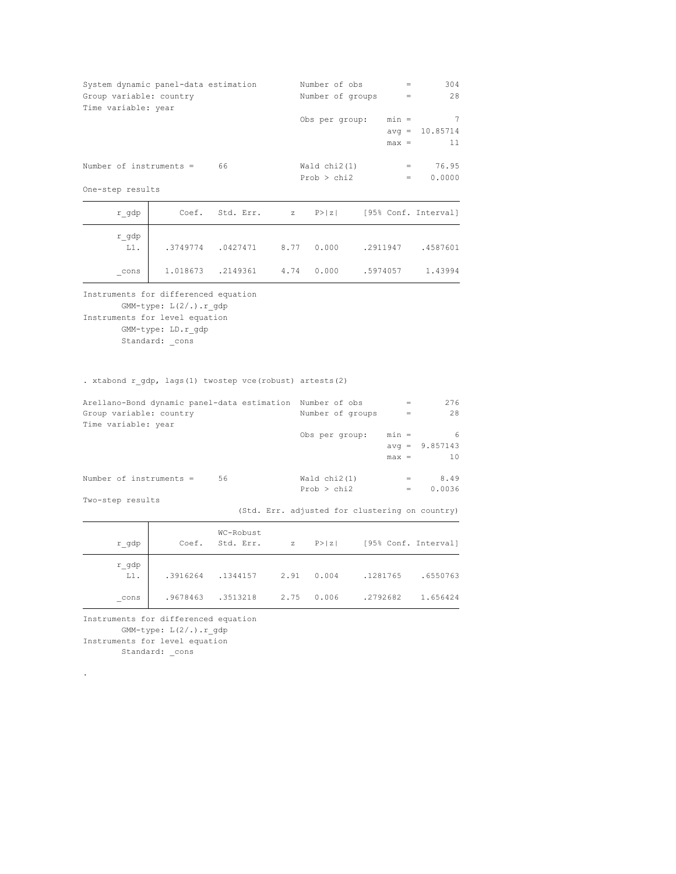| System dynamic panel-data estimation<br>Group variable: country<br>Time variable: year                               |                                                                        |                        |                                                       | Number of obs<br>Number of groups |          | $\qquad \qquad =$<br>$\,=\,$ | 304<br>28                                      |
|----------------------------------------------------------------------------------------------------------------------|------------------------------------------------------------------------|------------------------|-------------------------------------------------------|-----------------------------------|----------|------------------------------|------------------------------------------------|
|                                                                                                                      |                                                                        |                        |                                                       | Obs per group:                    |          | $min =$<br>$max =$           | $\overline{7}$<br>$avg = 10.85714$<br>11       |
| Number of instruments =                                                                                              |                                                                        | 66                     |                                                       | Wald $chi2(1)$<br>Prob > chi2     |          | $=$<br>$\qquad \qquad =$     | 76.95<br>0.0000                                |
| One-step results                                                                                                     |                                                                        |                        |                                                       |                                   |          |                              |                                                |
| r_gdp                                                                                                                | Coef.                                                                  | Std. Err.              | $\mathbf Z$                                           | P >  z                            |          |                              | [95% Conf. Interval]                           |
| $r\_gdp$<br>$L1$ .                                                                                                   | .3749774                                                               | .0427471               | 8.77                                                  | 0.000                             | .2911947 |                              | .4587601                                       |
| cons                                                                                                                 | 1.018673                                                               | .2149361               | 4.74                                                  | 0.000                             | .5974057 |                              | 1.43994                                        |
| Instruments for differenced equation<br>Instruments for level equation                                               | $GMM$ -type: $L(2/.)$ . r gdp<br>GMM-type: LD.r gdp<br>Standard: _cons |                        |                                                       |                                   |          |                              |                                                |
| . xtabond r gdp, lags(1) twostep vce(robust) artests(2)<br>Arellano-Bond dynamic panel-data estimation Number of obs |                                                                        |                        |                                                       |                                   |          | $=$                          | 276                                            |
| Group variable: country                                                                                              |                                                                        |                        |                                                       | Number of groups                  |          | $\!=$                        | 28                                             |
| Time variable: year                                                                                                  |                                                                        |                        |                                                       | Obs per group:                    |          | $min =$<br>$max =$           | - 6<br>$avg = 9.857143$<br>10                  |
| Number of instruments =                                                                                              |                                                                        | 56                     |                                                       | Wald $chi2(1)$                    |          | $=$                          | 8.49                                           |
| Two-step results                                                                                                     |                                                                        |                        |                                                       | Prob > chi2                       |          | $=$                          | 0.0036                                         |
|                                                                                                                      |                                                                        |                        |                                                       |                                   |          |                              | (Std. Err. adjusted for clustering on country) |
| r_gdp                                                                                                                | Coef.                                                                  | WC-Robust<br>Std. Err. | $\mathbf{Z}% ^{T}=\mathbf{Z}^{T}\times\mathbf{Z}^{T}$ | P >  z                            |          |                              | [95% Conf. Interval]                           |
| r gdp<br>$L1$ .                                                                                                      |                                                                        | .3916264 .1344157      | 2.91                                                  | 0.004                             | .1281765 |                              | .6550763                                       |

GMM-type: L(2/.).r\_gdp

Instruments for level equation

Standard: \_cons

.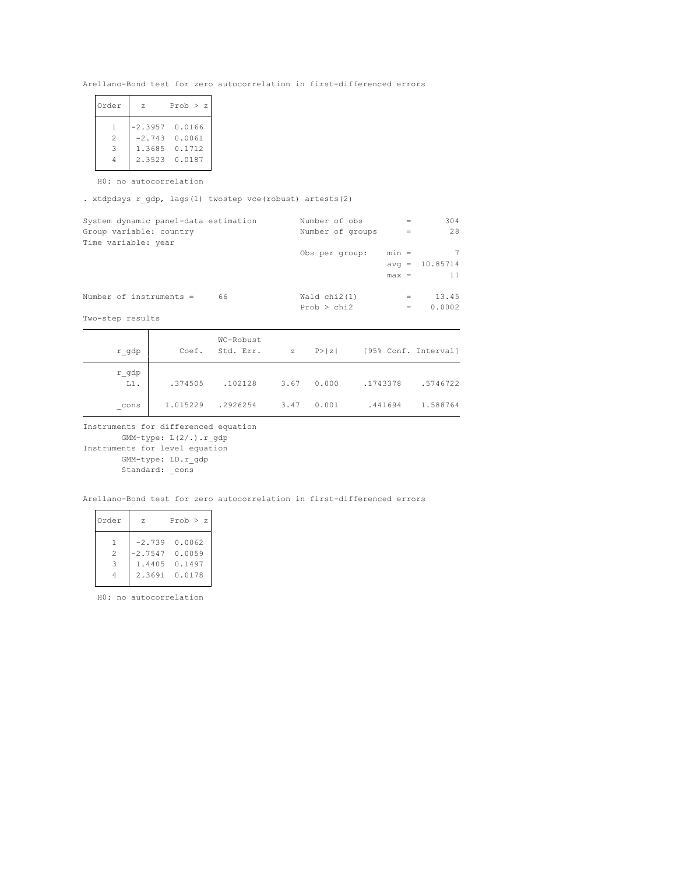Arellano-Bond test for zero autocorrelation in first-differenced errors

| Order                                                                                                                                                         | 7.     | Prob $>$ z       |
|---------------------------------------------------------------------------------------------------------------------------------------------------------------|--------|------------------|
| $\mathbf{1}$                                                                                                                                                  |        | $-2.3957$ 0.0166 |
| $\mathfrak{D}_{1}^{2}(\mathfrak{D}_{1})=\mathfrak{D}_{2}^{2}(\mathfrak{D}_{2})=\mathfrak{D}_{2}^{2}(\mathfrak{D}_{1})=\mathfrak{D}_{2}^{2}(\mathfrak{D}_{2})$ |        | $-2.743$ 0.0061  |
| 3                                                                                                                                                             | 1.3685 | 0.1712           |
|                                                                                                                                                               | 2.3523 | 0.0187           |
|                                                                                                                                                               |        |                  |

H0: no autocorrelation

. xtdpdsys r\_gdp, lags(1) twostep vce(robust) artests(2)

| System dynamic panel-data estimation | Number of obs    | $=$     | 304              |
|--------------------------------------|------------------|---------|------------------|
| Group variable: country              | Number of groups | $=$     | 28               |
| Time variable: year                  |                  |         |                  |
|                                      | Obs per group:   | $min =$ | 7                |
|                                      |                  |         | $avg = 10.85714$ |
|                                      |                  | $max =$ | 11               |
| Number of instruments $=$<br>66      | Wald $chi2(1)$   | $=$     | 13.45            |
|                                      | Prob > chi2      | $=$     | 0.0002           |
| Two-step results                     |                  |         |                  |

| r gdp           | Coef.    | WC-Robust<br>Std. Err. | $\mathbf{z}$ | P >  z | [95% Conf. Interval] |          |
|-----------------|----------|------------------------|--------------|--------|----------------------|----------|
| r gdp<br>$L1$ . | .374505  | .102128                | 3.67         | 0.000  | .1743378             | .5746722 |
| cons            | 1.015229 | .2926254               | 3.47         | 0.001  | .441694              | 1.588764 |

Instruments for differenced equation

Standard: \_cons GMM-type: LD.r\_gdp Instruments for level equation GMM-type: L(2/.).r\_gdp

Arellano-Bond test for zero autocorrelation in first-differenced errors

| Order          | 7.     | Prob > z         |
|----------------|--------|------------------|
| 1.             |        | $-2.739$ 0.0062  |
| $\mathfrak{D}$ |        | $-2.7547$ 0.0059 |
| 3              | 1.4405 | 0.1497           |
|                | 2.3691 | 0.0178           |
|                |        |                  |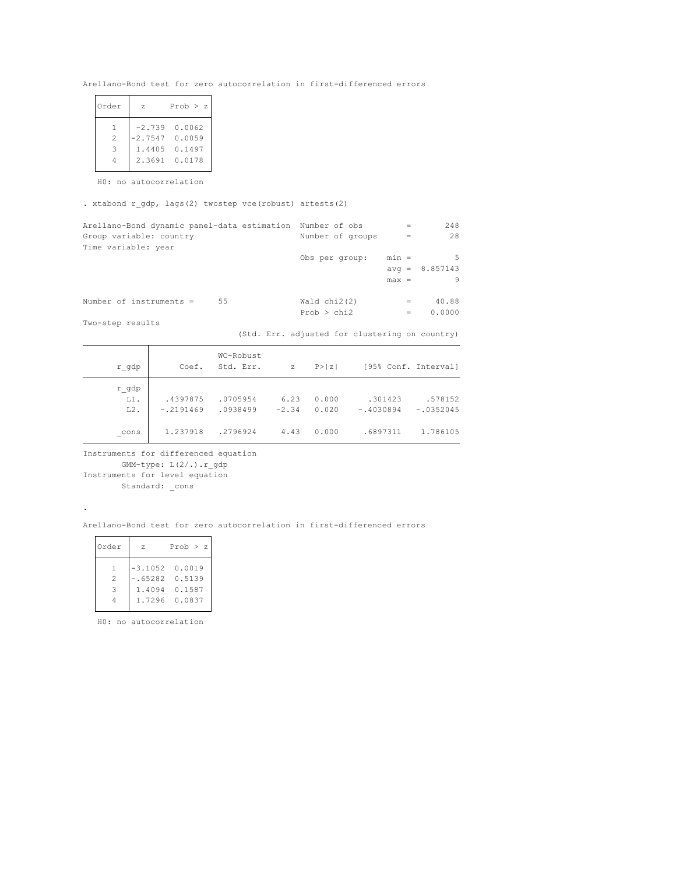Arellano-Bond test for zero autocorrelation in first-differenced errors

| z         | Prob $>$ z |
|-----------|------------|
| $-2.739$  | 0.0062     |
| $-2.7547$ | 0.0059     |
| 1.4405    | 0.1497     |
| 23691     | 0.0178     |
|           |            |

H0: no autocorrelation

. xtabond r\_gdp, lags(2) twostep vce(robust) artests(2)

| Arellano-Bond dynamic panel-data estimation Number of obs | $=$                                            | 248              |
|-----------------------------------------------------------|------------------------------------------------|------------------|
| Group variable: country                                   | Number of groups<br>$=$                        | 2.8              |
| Time variable: year                                       |                                                |                  |
|                                                           | $min =$<br>Obs per group:                      | .5               |
|                                                           |                                                | $avg = 8.857143$ |
|                                                           | $max =$                                        | 9                |
|                                                           |                                                |                  |
| 55<br>Number of instruments $=$                           | Wald $chi2(2)$<br>$=$                          | 40.88            |
|                                                           | Prob > chi2<br>$=$                             | 0.0000           |
| Two-step results                                          |                                                |                  |
|                                                           | (Std. Err. adjusted for clustering on country) |                  |

| r gdp                     | Coef.                   | WC-Robust<br>Std. Err. | $\mathbb{Z}$    | P >  z         |                        | [95% Conf. Interval]   |
|---------------------------|-------------------------|------------------------|-----------------|----------------|------------------------|------------------------|
| r gdp<br>$L1$ .<br>$L2$ . | .4397875<br>$-.2191469$ | .0705954<br>.0938499   | 6.23<br>$-2.34$ | 0.000<br>0.020 | .301423<br>$-.4030894$ | .578152<br>$-.0352045$ |
| cons                      | 1.237918                | .2796924               | 4.43            | 0.000          | .6897311               | 1.786105               |

Instruments for differenced equation

GMM-type: L(2/.).r\_gdp

Standard: \_cons Instruments for level equation

.

Arellano-Bond test for zero autocorrelation in first-differenced errors

| Order          | 7.     | Prob > z         |
|----------------|--------|------------------|
| $\mathbf{1}$   |        | $-3.1052$ 0.0019 |
| $\mathfrak{D}$ |        | $-.65282 0.5139$ |
| 3              | 1.4094 | 0.1587           |
|                |        | 1.7296 0.0837    |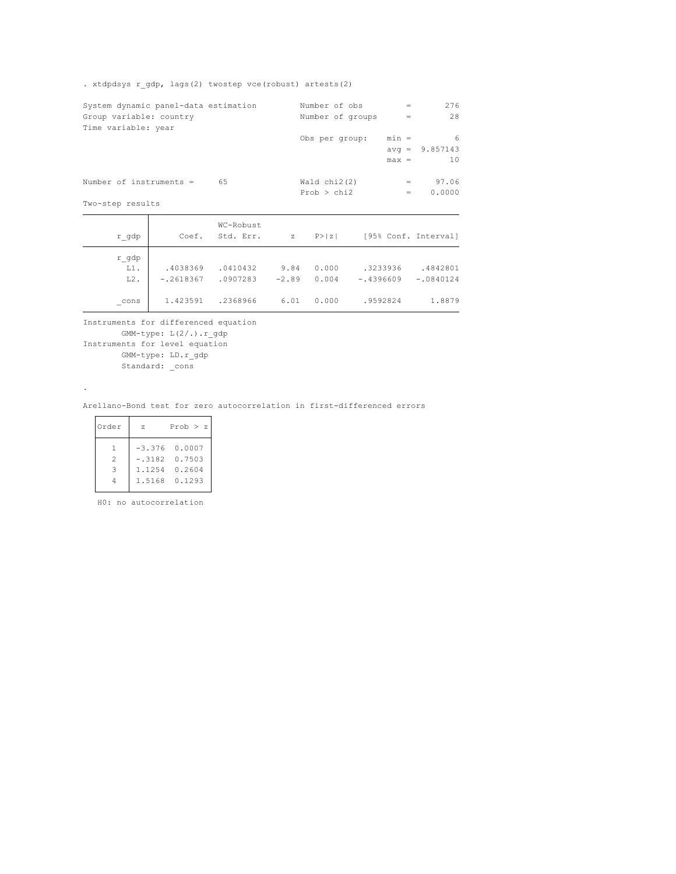. xtdpdsys r\_gdp, lags(2) twostep vce(robust) artests(2)

| System dynamic panel-data estimation |    | Number of obs    | $=$     | 276              |
|--------------------------------------|----|------------------|---------|------------------|
| Group variable: country              |    | Number of groups | $=$     | 28               |
| Time variable: year                  |    |                  |         |                  |
|                                      |    | Obs per group:   | $min =$ | 6                |
|                                      |    |                  |         | $avg = 9.857143$ |
|                                      |    |                  | $max =$ | 10               |
|                                      |    |                  |         |                  |
| Number of instruments $=$            | 65 | Wald $chi2(2)$   | $=$     | 97.06            |
|                                      |    | Prob > chi2      | $=$     | 0.0000           |
| المطالعة ممساحية المعامل             |    |                  |         |                  |

Two-step results

.

| r gdp  | Coef.       | WC-Robust<br>Std. Err. | $\mathbb{Z}$ | P >  z |             | [95% Conf. Interval] |
|--------|-------------|------------------------|--------------|--------|-------------|----------------------|
| r gdp  |             |                        |              |        |             |                      |
| $L1$ . | .4038369    | .0410432               | 9.84         | 0.000  | .3233936    | .4842801             |
| $L2$ . | $-.2618367$ | .0907283               | $-2.89$      | 0.004  | $-.4396609$ | $-.0840124$          |
| cons   | 1.423591    | .2368966               | 6.01         | 0.000  | .9592824    | 1.8879               |

Instruments for differenced equation

Instruments for level equation GMM-type: L(2/.).r\_gdp

GMM-type: LD.r\_gdp

Standard: \_cons

Arellano-Bond test for zero autocorrelation in first-differenced errors

| Order               | 7.     | Prob $>$ z                   |
|---------------------|--------|------------------------------|
| $\mathbf{1}$        |        | $-3.376$ 0.0007              |
| $\mathfrak{D}$<br>3 | 1.1254 | $-.3182 \t 0.7503$<br>0.2604 |
|                     | 1.5168 | 0.1293                       |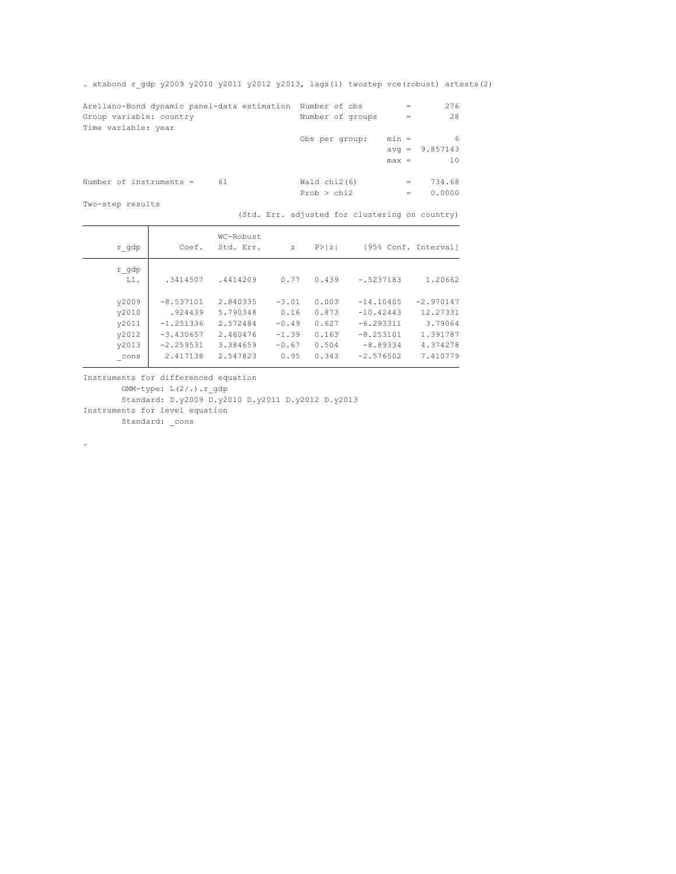. xtabond r\_gdp y2009 y2010 y2011 y2012 y2013, lags(1) twostep vce(robust) artests(2)

| Arellano-Bond dynamic panel-data estimation Number of obs |                  | $=$     | 276              |
|-----------------------------------------------------------|------------------|---------|------------------|
| Group variable: country                                   | Number of groups | $=$     | 28               |
| Time variable: year                                       |                  |         |                  |
|                                                           | Obs per group:   | $min =$ | 6                |
|                                                           |                  |         | $avg = 9.857143$ |
|                                                           |                  | $max =$ | 10               |
|                                                           |                  |         |                  |
| Number of instruments $=$<br>61                           | Wald $chi2(6)$   | $=$     | 734.68           |
|                                                           | Prob > chi2      | $=$     | 0.0000           |
| Two-step results                                          |                  |         |                  |

(Std. Err. adjusted for clustering on country)

| r gdp                                     | Coef.                                                               | WC-Robust<br>Std. Err.                                   | $\mathbf{z}$                                     | P >  z                                    |                                                                        | [95% Conf. Interval]                                       |
|-------------------------------------------|---------------------------------------------------------------------|----------------------------------------------------------|--------------------------------------------------|-------------------------------------------|------------------------------------------------------------------------|------------------------------------------------------------|
| r gdp<br>$L1$ .                           | .3414507                                                            | .4414209                                                 | 0.77                                             | 0.439                                     | $-.5237183$                                                            | 1.20662                                                    |
| y2009<br>y2010<br>v2011<br>y2012<br>y2013 | $-8.537101$<br>.924439<br>$-1.251336$<br>$-3.430657$<br>$-2.259531$ | 2.840335<br>5.790348<br>2.572484<br>2.460476<br>3.384659 | $-3.01$<br>0.16<br>$-0.49$<br>$-1.39$<br>$-0.67$ | 0.003<br>0.873<br>0.627<br>0.163<br>0.504 | $-14.10405$<br>$-10.42443$<br>$-6.293311$<br>$-8.253101$<br>$-8.89334$ | $-2.970147$<br>12.27331<br>3.79064<br>1.391787<br>4.374278 |
| cons                                      | 2.417138                                                            | 2.547823                                                 | 0.95                                             | 0.343                                     | $-2.576502$                                                            | 7.410779                                                   |

Instruments for differenced equation

GMM-type: L(2/.).r\_gdp

Instruments for level equation Standard: D.y2009 D.y2010 D.y2011 D.y2012 D.y2013

Standard: \_cons

.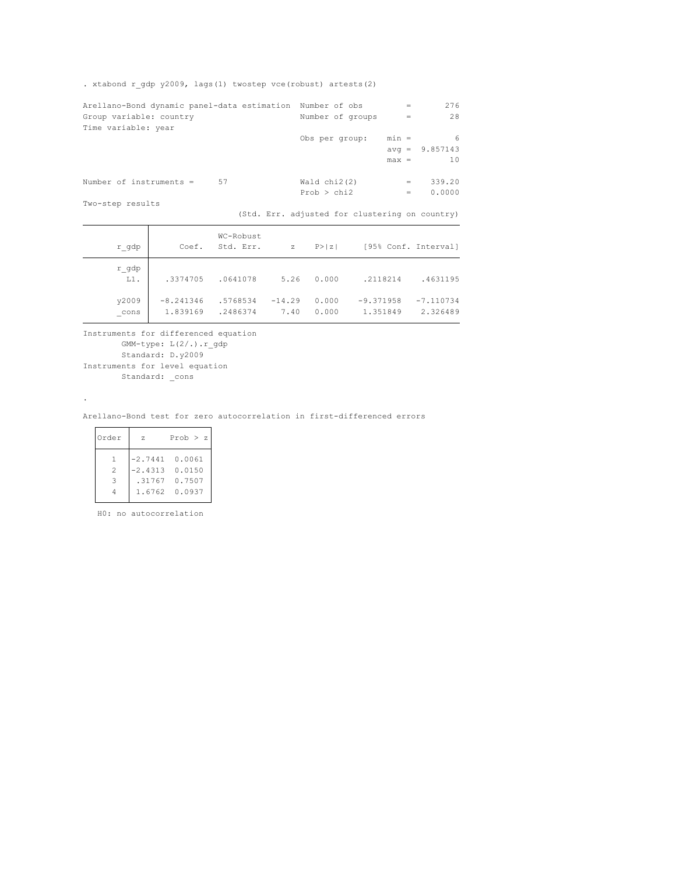. xtabond r\_gdp y2009, lags(1) twostep vce(robust) artests(2)

| Arellano-Bond dynamic panel-data estimation Number of obs |                  | $=$     | 276      |
|-----------------------------------------------------------|------------------|---------|----------|
| Group variable: country                                   | Number of groups | $=$     | 28       |
| Time variable: year                                       |                  |         |          |
|                                                           | Obs per group:   | $min =$ | 6        |
|                                                           |                  | $avg =$ | 9.857143 |
|                                                           |                  | $max =$ | 10       |
|                                                           |                  |         |          |
| Number of instruments =<br>57                             | Wald $chi2(2)$   | $=$     | 339.20   |
|                                                           | Prob > chi2      | $=$     | 0.0000   |
| Two-step results                                          |                  |         |          |

(Std. Err. adjusted for clustering on country)

| r gdp           | Coef.                   | WC-Robust<br>Std. Err. | $\mathbf{z}$     | P >  z         |                         | [95% Conf. Interval]    |
|-----------------|-------------------------|------------------------|------------------|----------------|-------------------------|-------------------------|
| r gdp<br>$L1$ . | .3374705                | .0641078               | 5.26             | 0.000          | .2118214                | .4631195                |
| y2009<br>cons   | $-8.241346$<br>1.839169 | .5768534<br>.2486374   | $-14.29$<br>7.40 | 0.000<br>0.000 | $-9.371958$<br>1.351849 | $-7.110734$<br>2.326489 |

Standard: \_cons Instruments for level equation Standard: D.y2009 GMM-type: L(2/.).r\_gdp Instruments for differenced equation

#### Arellano-Bond test for zero autocorrelation in first-differenced errors

| Order             | 7.                 | Prob > z                       |
|-------------------|--------------------|--------------------------------|
| $\mathbf{1}$<br>2 | $-2.4313$ $0.0150$ | $-2.7441$ 0.0061               |
| $\mathcal{L}$     |                    | .31767 0.7507<br>1.6762 0.0937 |

.

 $\overline{a}$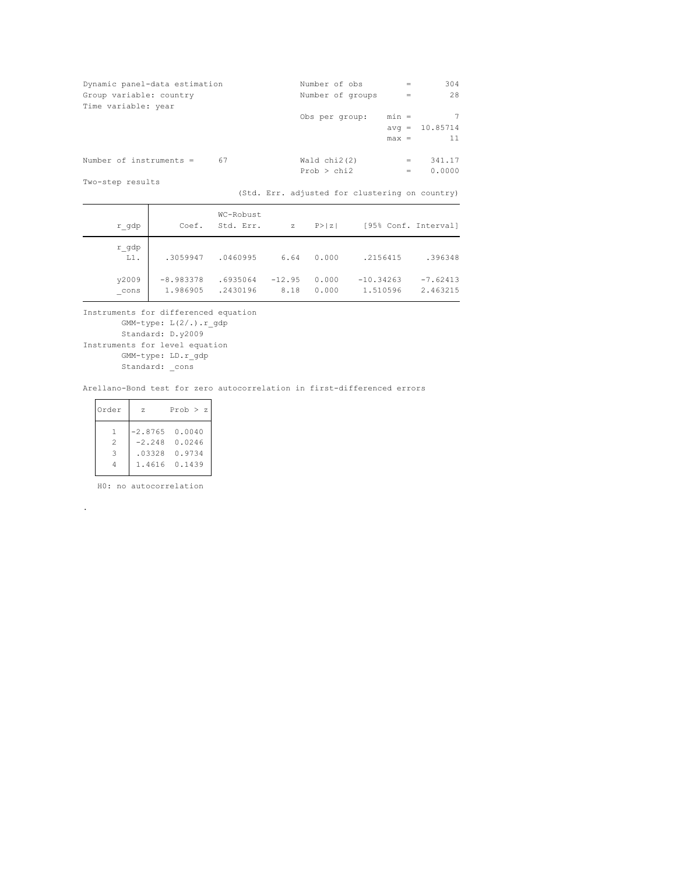| Dynamic panel-data estimation | Number of obs    | $=$     | 304      |
|-------------------------------|------------------|---------|----------|
| Group variable: country       | Number of groups | $=$     | 28       |
| Time variable: year           |                  |         |          |
|                               | Obs per group:   | $min =$ | 7        |
|                               |                  | $avg =$ | 10.85714 |
|                               |                  | $max =$ | 11       |
| Number of instruments =<br>67 | Wald $chi2(2)$   | $=$     | 341.17   |
|                               | Prob > chi2      | $=$     | 0.0000   |
| Two-step results              |                  |         |          |

(Std. Err. adjusted for clustering on country)

| r gdp           | Coef.                   | WC-Robust<br>Std. Err. | $\mathbf{z}$     | P >  z         |                         | [95% Conf. Interval]   |
|-----------------|-------------------------|------------------------|------------------|----------------|-------------------------|------------------------|
| r gdp<br>$L1$ . | .3059947                | .0460995               | 6.64             | 0.000          | .2156415                | .396348                |
| y2009<br>cons   | $-8.983378$<br>1.986905 | .6935064<br>.2430196   | $-12.95$<br>8.18 | 0.000<br>0.000 | $-10.34263$<br>1.510596 | $-7.62413$<br>2.463215 |

Standard: \_cons GMM-type: LD.r\_gdp Instruments for level equation Standard: D.y2009 GMM-type: L(2/.).r\_gdp Instruments for differenced equation

Arellano-Bond test for zero autocorrelation in first-differenced errors

| Order | $\mathbf{z}$     | Prob $>$ z      |
|-------|------------------|-----------------|
| -1.   | $-2.8765$ 0.0040 |                 |
| 2     |                  | $-2.248$ 0.0246 |
| 3     | .03328           | 0.9734          |
|       | 1.4616           | 0.1439          |
|       |                  |                 |

H0: no autocorrelation

.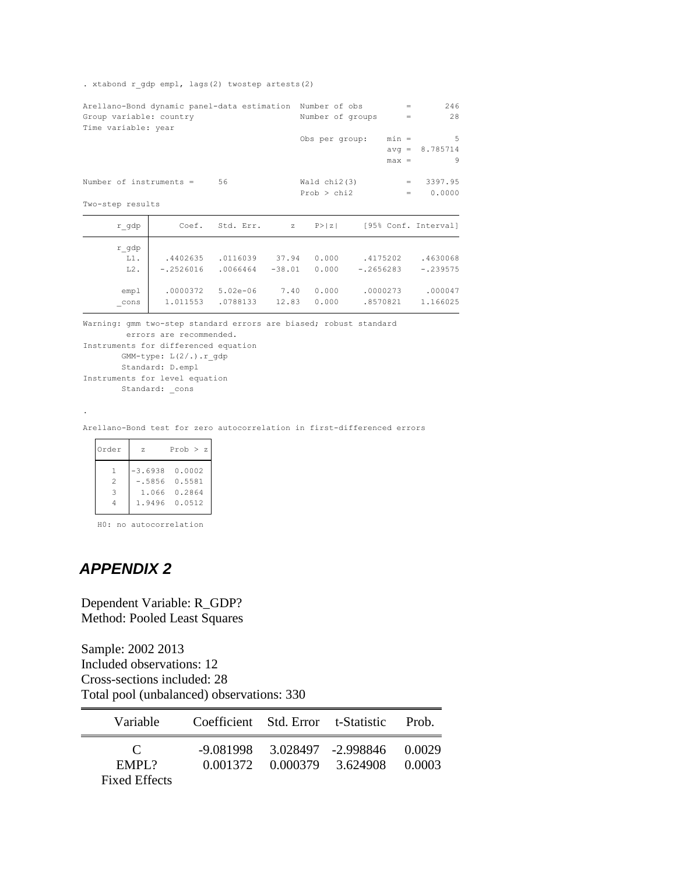#### . xtabond r\_gdp empl, lags(2) twostep artests(2)

| Arellano-Bond dynamic panel-data estimation Number of obs |             |                        |       |                  |             | 246<br>$=$           |
|-----------------------------------------------------------|-------------|------------------------|-------|------------------|-------------|----------------------|
| Group variable: country                                   |             |                        |       | Number of groups |             | 28<br>$=$            |
| Time variable: year                                       |             |                        |       |                  |             |                      |
|                                                           |             |                        |       | Obs per group:   | $min =$     | .5                   |
|                                                           |             |                        |       |                  |             | $avg = 8.785714$     |
|                                                           |             |                        |       |                  | $max =$     | 9                    |
|                                                           |             |                        |       |                  |             |                      |
| Number of instruments =                                   |             | 56                     |       | Wald chi2(3)     |             | 3397.95<br>$=$       |
|                                                           |             |                        |       | Prob > chi2      |             | 0.0000<br>$=$        |
| Two-step results                                          |             |                        |       |                  |             |                      |
| r gdp                                                     |             | Coef. Std. Err. z      |       | P >  z           |             | [95% Conf. Interval] |
| r gdp                                                     |             |                        |       |                  |             |                      |
| $L1$ .                                                    | .4402635    | .0116039               | 37.94 | 0.000            | .4175202    | .4630068             |
| $L2$ .                                                    | $-.2526016$ | $.0066464 -38.01$      |       | 0.000            | $-.2656283$ | $-.239575$           |
|                                                           |             |                        |       |                  |             |                      |
| emp1                                                      |             | .0000372 5.02e-06 7.40 |       | 0.000            | .0000273    | .000047              |
| $_{\rm cons}$                                             | 1.011553    | .0788133               | 12.83 | 0.000            | .8570821    | 1.166025             |

Warning: gmm two-step standard errors are biased; robust standard

```
errors are recommended.
```

```
Standard: _cons
Instruments for level equation
       Standard: D.empl
      GMM-type: L(2/.).r_gdp
Instruments for differenced equation
```
Arellano-Bond test for zero autocorrelation in first-differenced errors

| Order | - 7. | Prob > z         |
|-------|------|------------------|
|       |      | $-3.6938$ 0.0002 |
| 2     |      | $-.58560.5581$   |
| 3     |      | 1.066 0.2864     |
|       |      | 1.9496 0.0512    |
|       |      |                  |

H0: no autocorrelation

# *APPENDIX 2*

.

Dependent Variable: R\_GDP? Method: Pooled Least Squares

Sample: 2002 2013 Included observations: 12 Cross-sections included: 28 Total pool (unbalanced) observations: 330

| Variable                                       |  | Coefficient Std. Error t-Statistic Prob.                                  |        |
|------------------------------------------------|--|---------------------------------------------------------------------------|--------|
| $\mathbf{C}$<br>EMPI.2<br><b>Fixed Effects</b> |  | $-9.081998$ $3.028497$ $-2.998846$ $0.0029$<br>0.001372 0.000379 3.624908 | 0.0003 |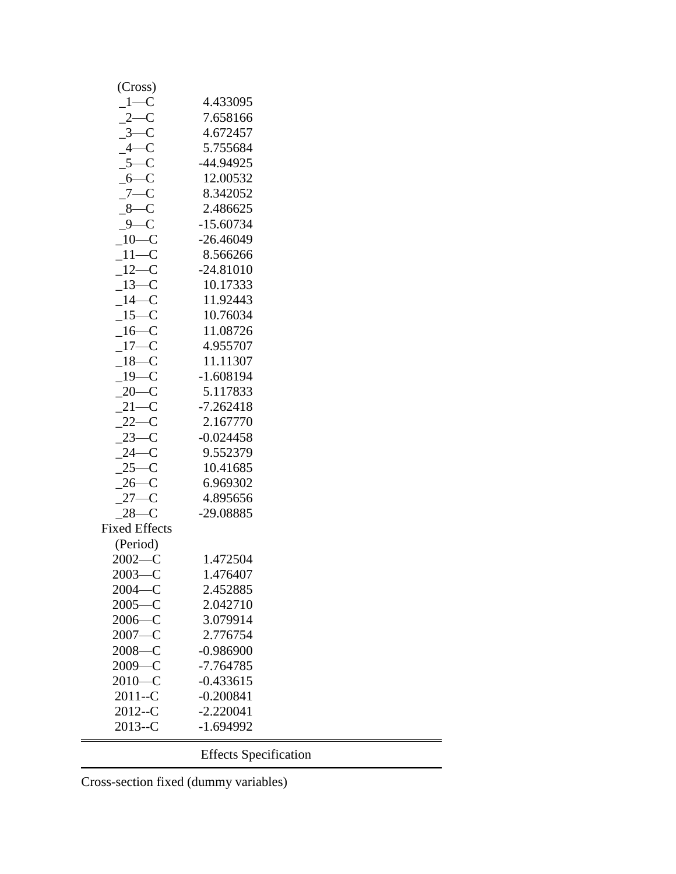| (Cross)                |                              |
|------------------------|------------------------------|
| $-1$ —C                | 4.433095                     |
| $2-C$                  | 7.658166                     |
| $3-C$                  | 4.672457                     |
| $4-C$                  | 5.755684                     |
| $5 - C$                | -44.94925                    |
| $6 - C$                | 12.00532                     |
| $7 - C$                | 8.342052                     |
| $-8$ —C                | 2.486625                     |
| $9-C$                  | $-15.60734$                  |
| $10-C$                 | $-26.46049$                  |
| $11-C$                 | 8.566266                     |
| $12-C$                 | $-24.81010$                  |
| $13-C$                 | 10.17333                     |
| $-14-C$                | 11.92443                     |
| $15-C$                 | 10.76034                     |
| $16-C$                 | 11.08726                     |
| $17 - C$               | 4.955707                     |
| $18 - C$               | 11.11307                     |
| $-19$ –C               | $-1.608194$                  |
| $20-C$                 | 5.117833                     |
| $21-C$                 | $-7.262418$                  |
| $22-C$                 | 2.167770                     |
| $23-C$                 | $-0.024458$                  |
| $24 - C$               | 9.552379                     |
| $25-C$                 | 10.41685                     |
| $26-C$                 | 6.969302                     |
| $27-C$                 | 4.895656                     |
| $28-C$                 | -29.08885                    |
|                        |                              |
| <b>Fixed Effects</b>   |                              |
| (Period)<br>$2002 - C$ | 1.472504                     |
|                        |                              |
| $2003 - C$             | 1.476407                     |
| $2004 - C$             | 2.452885                     |
| $2005 - C$             | 2.042710                     |
| $2006 - C$             | 3.079914                     |
| $2007 - C$             | 2.776754                     |
| $2008 - C$             | $-0.986900$                  |
| $2009 - C$             | $-7.764785$                  |
| $2010 - C$             | $-0.433615$                  |
| $2011 - C$             | $-0.200841$                  |
| $2012 - C$             | $-2.220041$                  |
| $2013 - C$             | $-1.694992$                  |
|                        | <b>Effects Specification</b> |

Cross-section fixed (dummy variables)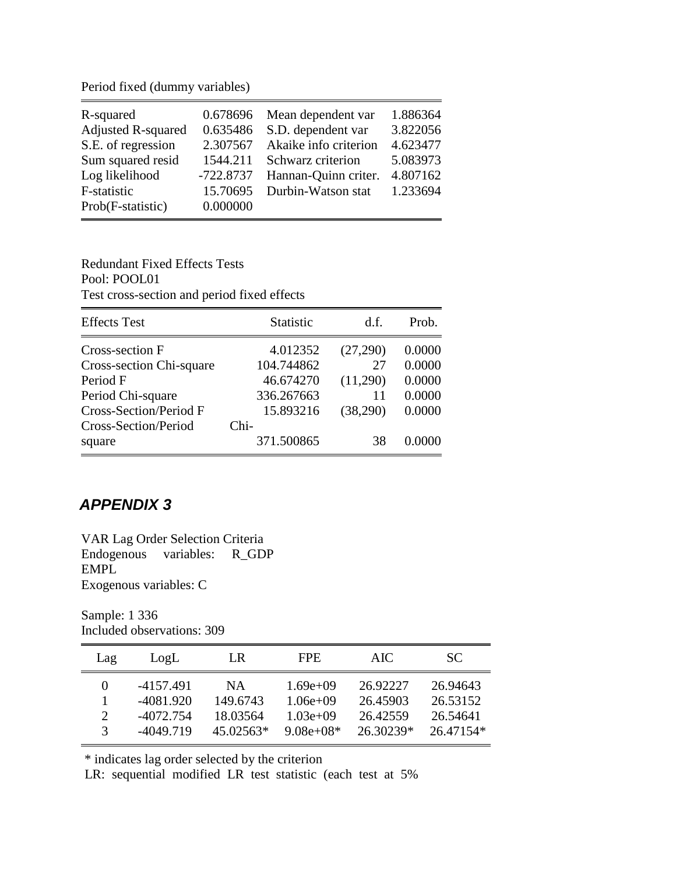Period fixed (dummy variables)

| R-squared                 | 0.678696    | Mean dependent var    | 1.886364 |
|---------------------------|-------------|-----------------------|----------|
| <b>Adjusted R-squared</b> | 0.635486    | S.D. dependent var    | 3.822056 |
| S.E. of regression        | 2.307567    | Akaike info criterion | 4.623477 |
| Sum squared resid         | 1544.211    | Schwarz criterion     | 5.083973 |
| Log likelihood            | $-722.8737$ | Hannan-Quinn criter.  | 4.807162 |
| F-statistic               | 15.70695    | Durbin-Watson stat    | 1.233694 |
| Prob(F-statistic)         | 0.000000    |                       |          |

Redundant Fixed Effects Tests Pool: POOL01 Test cross-section and period fixed effects

| <b>Effects</b> Test           | <b>Statistic</b> | d.f.     | Prob.  |
|-------------------------------|------------------|----------|--------|
| Cross-section F               | 4.012352         | (27,290) | 0.0000 |
| Cross-section Chi-square      | 104.744862       | 27       | 0.0000 |
| Period F                      | 46.674270        | (11,290) | 0.0000 |
| Period Chi-square             | 336.267663       | 11       | 0.0000 |
| <b>Cross-Section/Period F</b> | 15.893216        | (38,290) | 0.0000 |
| Cross-Section/Period          | Chi-             |          |        |
| square                        | 371.500865       | 38       | 0.0000 |

# *APPENDIX 3*

VAR Lag Order Selection Criteria Endogenous variables: R\_GDP EMPL Exogenous variables: C

Sample: 1 336 Included observations: 309

| Lag      | LogL        | LR          | FPE.        | AIC.      | SC.       |
|----------|-------------|-------------|-------------|-----------|-----------|
| $^{(1)}$ | -4157.491   | NA.         | $1.69e+09$  | 26.92227  | 26.94643  |
|          | $-4081.920$ | 149.6743    | $1.06e+09$  | 26.45903  | 26.53152  |
| 2        | -4072.754   | 18.03564    | $1.03e+09$  | 26.42559  | 26.54641  |
| 3        | -4049.719   | $45.02563*$ | $9.08e+08*$ | 26.30239* | 26.47154* |

\* indicates lag order selected by the criterion

LR: sequential modified LR test statistic (each test at 5%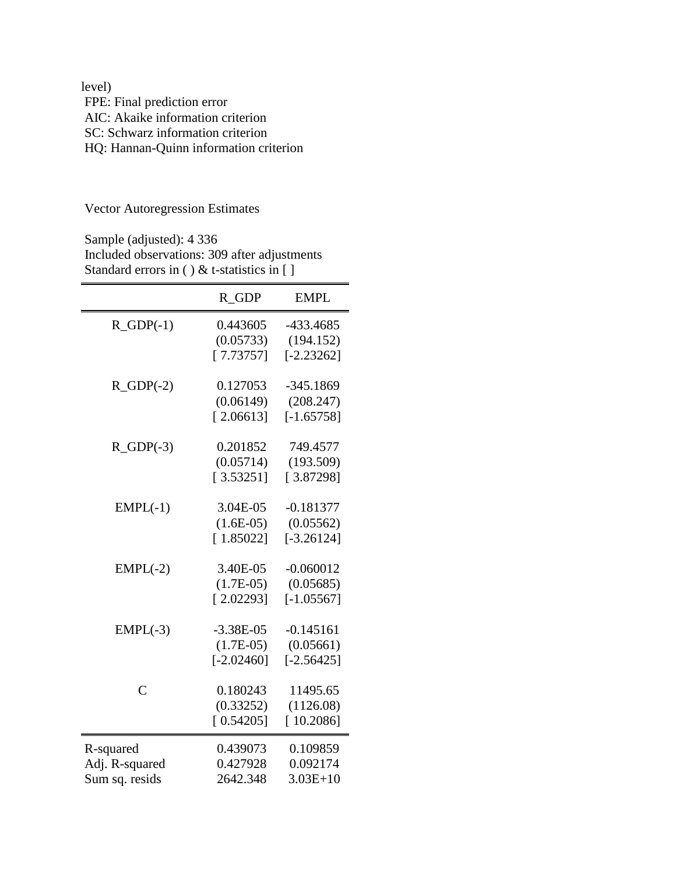| level)                                 |
|----------------------------------------|
| FPE: Final prediction error            |
| AIC: Akaike information criterion      |
| SC: Schwarz information criterion      |
| HQ: Hannan-Quinn information criterion |

Vector Autoregression Estimates

Sample (adjusted): 4 336 Included observations: 309 after adjustments Standard errors in () & t-statistics in []

|                | R GDP         | <b>EMPL</b>  |
|----------------|---------------|--------------|
| $R_GDP(-1)$    | 0.443605      | -433.4685    |
|                | (0.05733)     | (194.152)    |
|                | [7.73757]     | $[-2.23262]$ |
| $R_GDP(-2)$    | 0.127053      | $-345.1869$  |
|                | (0.06149)     | (208.247)    |
|                | [2.06613]     | $[-1.65758]$ |
| $R_GDP(-3)$    | 0.201852      | 749.4577     |
|                | (0.05714)     | (193.509)    |
|                | [3.53251]     | [3.87298]    |
| $EMPL(-1)$     | 3.04E-05      | $-0.181377$  |
|                | $(1.6E-05)$   | (0.05562)    |
|                | [1.85022]     | $[-3.26124]$ |
| $EMPL(-2)$     | 3.40E-05      | $-0.060012$  |
|                | $(1.7E-0.5)$  | (0.05685)    |
|                | [2.02293]     | $[-1.05567]$ |
| $EMPL(-3)$     | $-3.38E - 05$ | $-0.145161$  |
|                | $(1.7E-0.5)$  | (0.05661)    |
|                | $[-2.02460]$  | $[-2.56425]$ |
| $\overline{C}$ | 0.180243      | 11495.65     |
|                | (0.33252)     | (1126.08)    |
|                | [0.54205]     | [10.2086]    |
| R-squared      | 0.439073      | 0.109859     |
| Adj. R-squared | 0.427928      | 0.092174     |
| Sum sq. resids | 2642.348      | $3.03E+10$   |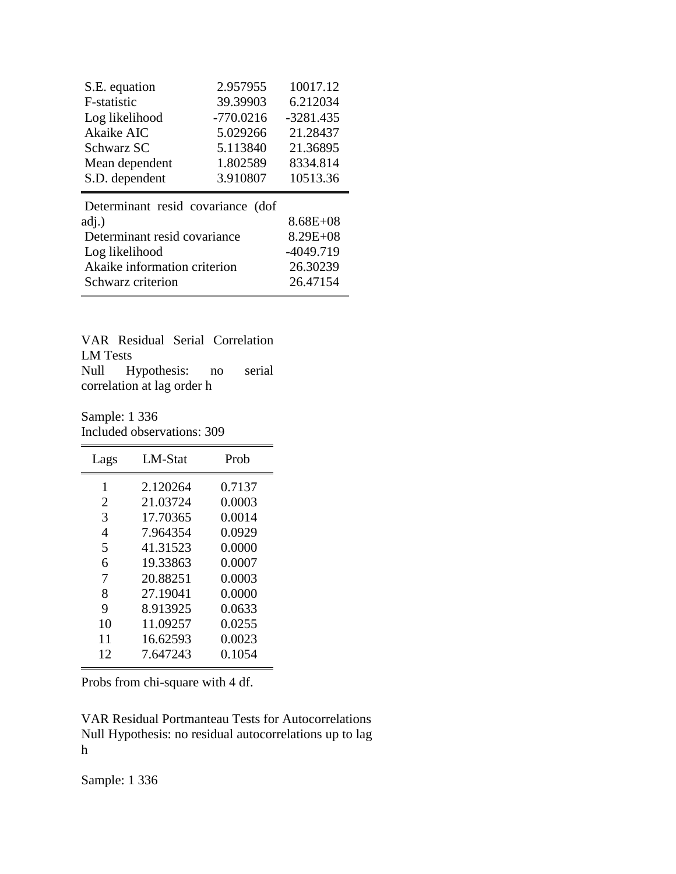| S.E. equation                     | 2.957955     | 10017.12     |  |  |  |  |
|-----------------------------------|--------------|--------------|--|--|--|--|
| F-statistic                       | 39.39903     | 6.212034     |  |  |  |  |
| Log likelihood                    | $-770.0216$  | $-3281.435$  |  |  |  |  |
| Akaike AIC                        | 5.029266     | 21.28437     |  |  |  |  |
| Schwarz SC                        | 5.113840     | 21.36895     |  |  |  |  |
| Mean dependent                    | 1.802589     | 8334.814     |  |  |  |  |
| S.D. dependent                    | 3.910807     | 10513.36     |  |  |  |  |
| Determinant resid covariance (dof |              |              |  |  |  |  |
| adj.)                             |              | $8.68E + 08$ |  |  |  |  |
| Determinant resid covariance      | $8.29E + 08$ |              |  |  |  |  |
| Log likelihood                    | $-4049.719$  |              |  |  |  |  |

Akaike information criterion 26.30239

Schwarz criterion 26.47154 VAR Residual Serial Correlation LM Tests Null Hypothesis: no serial

correlation at lag order h

Sample: 1 336 Included observations: 309

| Lags | LM-Stat  | Prob   |
|------|----------|--------|
| 1    | 2.120264 | 0.7137 |
| 2    | 21.03724 | 0.0003 |
| 3    | 17.70365 | 0.0014 |
| 4    | 7.964354 | 0.0929 |
| 5    | 41.31523 | 0.0000 |
| 6    | 19.33863 | 0.0007 |
| 7    | 20.88251 | 0.0003 |
| 8    | 27.19041 | 0.0000 |
| 9    | 8.913925 | 0.0633 |
| 10   | 11.09257 | 0.0255 |
| 11   | 16.62593 | 0.0023 |
| 12   | 7.647243 | 0.1054 |
|      |          |        |

Probs from chi-square with 4 df.

VAR Residual Portmanteau Tests for Autocorrelations Null Hypothesis: no residual autocorrelations up to lag h

Sample: 1 336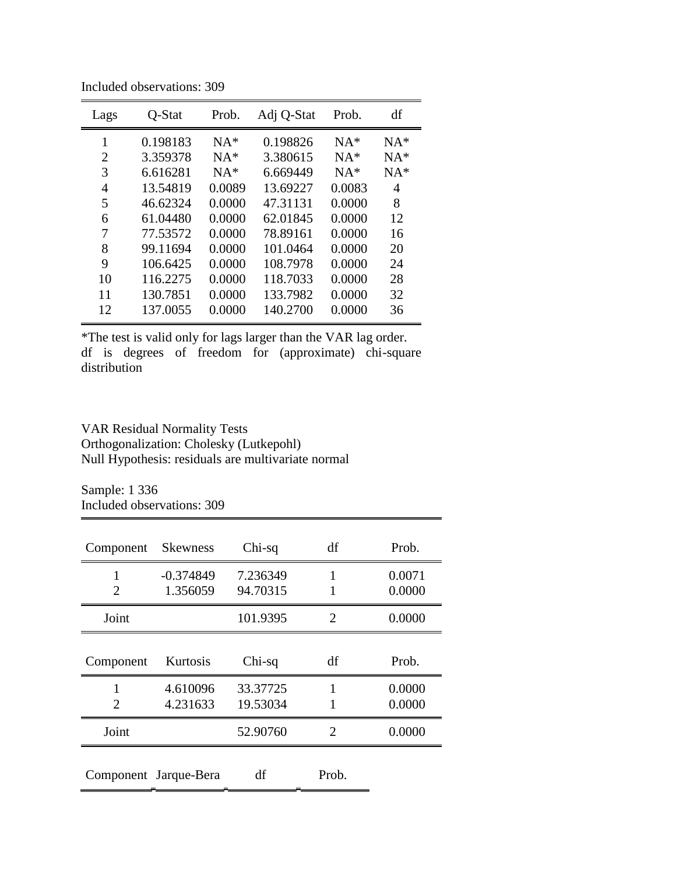| Lags | Q-Stat   | Prob.  | Adj Q-Stat | Prob.  | df    |
|------|----------|--------|------------|--------|-------|
| 1    | 0.198183 | $NA*$  | 0.198826   | $NA*$  | $NA*$ |
| 2    | 3.359378 | $NA*$  | 3.380615   | $NA*$  | $NA*$ |
| 3    | 6.616281 | $NA*$  | 6.669449   | $NA*$  | $NA*$ |
| 4    | 13.54819 | 0.0089 | 13.69227   | 0.0083 | 4     |
| 5    | 46.62324 | 0.0000 | 47.31131   | 0.0000 | 8     |
| 6    | 61.04480 | 0.0000 | 62.01845   | 0.0000 | 12    |
| 7    | 77.53572 | 0.0000 | 78.89161   | 0.0000 | 16    |
| 8    | 99.11694 | 0.0000 | 101.0464   | 0.0000 | 20    |
| 9    | 106.6425 | 0.0000 | 108.7978   | 0.0000 | 24    |
| 10   | 116.2275 | 0.0000 | 118.7033   | 0.0000 | 28    |
| 11   | 130.7851 | 0.0000 | 133.7982   | 0.0000 | 32    |
| 12   | 137.0055 | 0.0000 | 140.2700   | 0.0000 | 36    |
|      |          |        |            |        |       |

Included observations: 309

\*The test is valid only for lags larger than the VAR lag order. df is degrees of freedom for (approximate) chi-square distribution

VAR Residual Normality Tests Orthogonalization: Cholesky (Lutkepohl) Null Hypothesis: residuals are multivariate normal

Sample: 1 336 Included observations: 309

| Component | <b>Skewness</b>         | $Chi-sq$             | df    | Prob.            |
|-----------|-------------------------|----------------------|-------|------------------|
| 1<br>2    | $-0.374849$<br>1.356059 | 7.236349<br>94.70315 | 1     | 0.0071<br>0.0000 |
| Joint     |                         | 101.9395             | 2     | 0.0000           |
| Component | Kurtosis                | Chi-sq               | df    | Prob.            |
| 2         | 4.610096<br>4.231633    | 33.37725<br>19.53034 | 1     | 0.0000<br>0.0000 |
| Joint     |                         | 52.90760             | 2     | 0.0000           |
|           | Component Jarque-Bera   | df                   | Prob. |                  |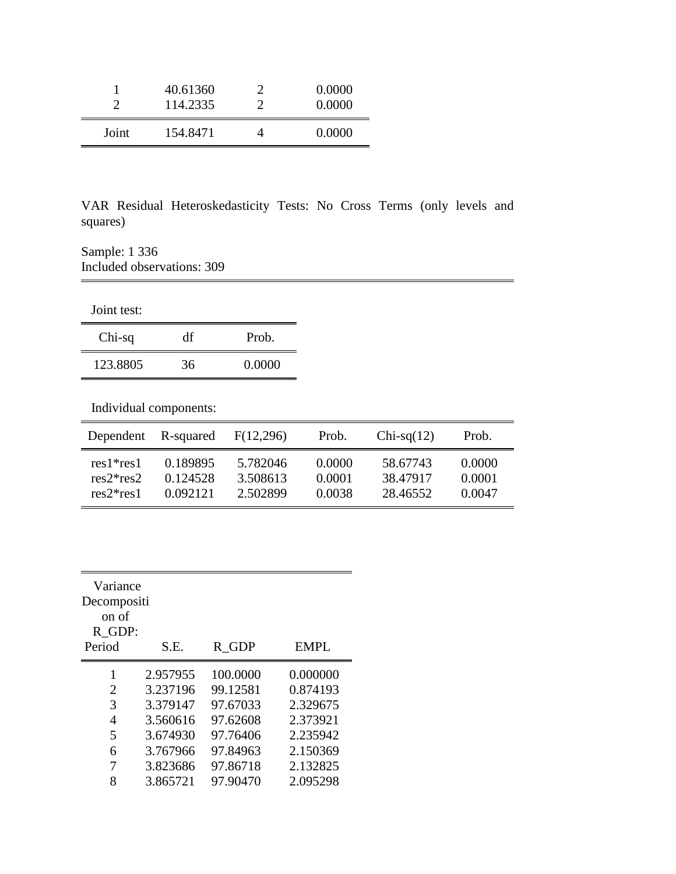|       | 40.61360<br>114.2335 | 0.0000<br>0.0000 |
|-------|----------------------|------------------|
| Joint | 154.8471             | 0.0000           |

VAR Residual Heteroskedasticity Tests: No Cross Terms (only levels and squares)

Sample: 1 336 Included observations: 309

Joint test:

| $Chi-sq$ | df | Prob.  |
|----------|----|--------|
| 123.8805 | 36 | 0.0000 |

Individual components:

| Dependent   | R-squared | F(12,296) | Prob.  | $Chi-sq(12)$ | Prob.  |
|-------------|-----------|-----------|--------|--------------|--------|
| $res1*res1$ | 0.189895  | 5.782046  | 0.0000 | 58.67743     | 0.0000 |
| $res2*res2$ | 0.124528  | 3.508613  | 0.0001 | 38.47917     | 0.0001 |
| $res2*res1$ | 0.092121  | 2.502899  | 0.0038 | 28.46552     | 0.0047 |

| Variance    |          |          |          |
|-------------|----------|----------|----------|
| Decompositi |          |          |          |
| on of       |          |          |          |
| R GDP:      |          |          |          |
| Period      | S.E.     | R GDP    | EMPL     |
| 1           | 2.957955 | 100,0000 | 0.000000 |
| 2           | 3.237196 | 99.12581 | 0.874193 |
| 3           | 3.379147 | 97.67033 | 2.329675 |
| 4           | 3.560616 | 97.62608 | 2.373921 |
| 5           | 3.674930 | 97.76406 | 2.235942 |
| 6           | 3.767966 | 97.84963 | 2.150369 |
| 7           | 3.823686 | 97.86718 | 2.132825 |
| 8           | 3.865721 | 97.90470 | 2.095298 |
|             |          |          |          |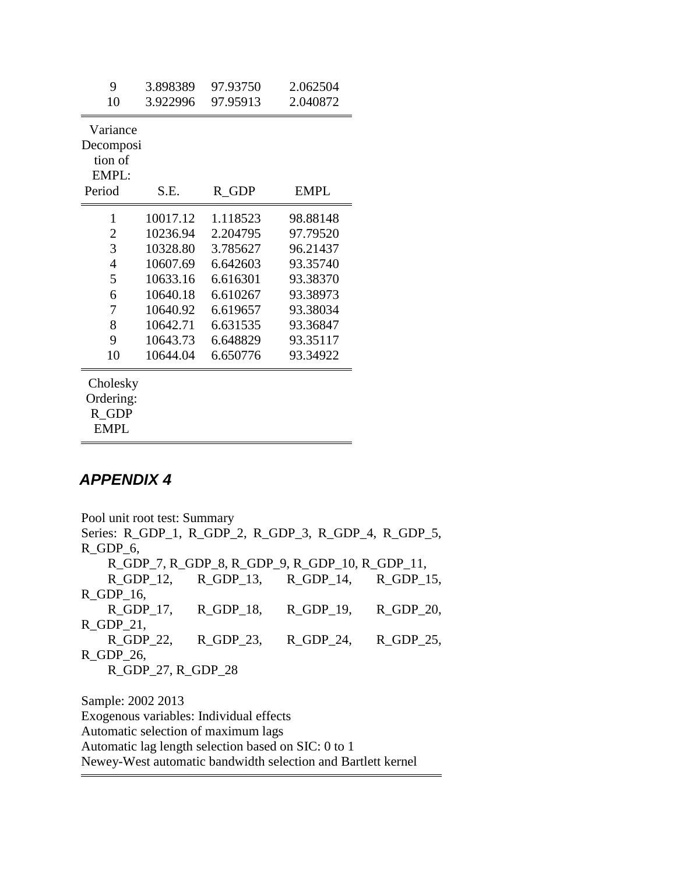| 9                     | 3.898389 | 97.93750 | 2.062504    |
|-----------------------|----------|----------|-------------|
| 10                    | 3.922996 | 97.95913 | 2.040872    |
| Variance              |          |          |             |
| Decomposi             |          |          |             |
| tion of               |          |          |             |
| EMPL:                 |          |          |             |
| Period                | S.E.     | $R_GDP$  | <b>EMPL</b> |
| 1                     | 10017.12 | 1.118523 | 98.88148    |
| $\overline{2}$        | 10236.94 | 2.204795 | 97.79520    |
| 3                     | 10328.80 | 3.785627 | 96.21437    |
| 4                     | 10607.69 | 6.642603 | 93.35740    |
| 5                     | 10633.16 | 6.616301 | 93.38370    |
| 6                     | 10640.18 | 6.610267 | 93.38973    |
| 7                     | 10640.92 | 6.619657 | 93.38034    |
| 8                     | 10642.71 | 6.631535 | 93.36847    |
| 9                     | 10643.73 | 6.648829 | 93.35117    |
| 10                    | 10644.04 | 6.650776 | 93.34922    |
| Cholesky<br>Ordering: |          |          |             |

R\_GDP

### EMPL

#### *APPENDIX 4*

Pool unit root test: Summary Series: R\_GDP\_1, R\_GDP\_2, R\_GDP\_3, R\_GDP\_4, R\_GDP\_5, R\_GDP\_6, R\_GDP\_7, R\_GDP\_8, R\_GDP\_9, R\_GDP\_10, R\_GDP\_11, R\_GDP\_12, R\_GDP\_13, R\_GDP\_14, R\_GDP\_15, R\_GDP\_16, R\_GDP\_17, R\_GDP\_18, R\_GDP\_19, R\_GDP\_20, R\_GDP\_21, R\_GDP\_22, R\_GDP\_23, R\_GDP\_24, R\_GDP\_25, R\_GDP\_26, R\_GDP\_27, R\_GDP\_28 Sample: 2002 2013 Exogenous variables: Individual effects Automatic selection of maximum lags

Automatic lag length selection based on SIC: 0 to 1

Newey-West automatic bandwidth selection and Bartlett kernel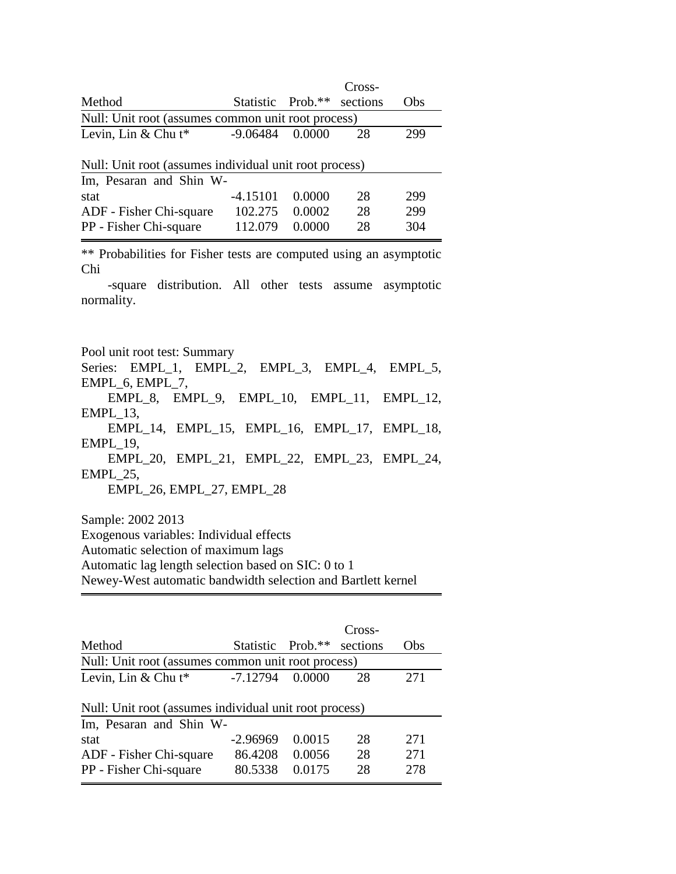|                                                        |            |                   | Cross-   |     |  |  |  |
|--------------------------------------------------------|------------|-------------------|----------|-----|--|--|--|
| Method                                                 |            | Statistic Prob.** | sections | Obs |  |  |  |
| Null: Unit root (assumes common unit root process)     |            |                   |          |     |  |  |  |
| Levin, Lin & Chu $t^*$                                 | $-9.06484$ | 0.0000            | 28       | 299 |  |  |  |
| Null: Unit root (assumes individual unit root process) |            |                   |          |     |  |  |  |
| Im, Pesaran and Shin W-                                |            |                   |          |     |  |  |  |
| stat                                                   | $-4.15101$ | 0.0000            | 28       | 299 |  |  |  |
| ADF - Fisher Chi-square                                | 102.275    | 0.0002            | 28       | 299 |  |  |  |
| PP - Fisher Chi-square                                 | 112.079    | 0.0000            | 28       | 304 |  |  |  |

\*\* Probabilities for Fisher tests are computed using an asymptotic Chi

-square distribution. All other tests assume asymptotic normality.

Pool unit root test: Summary

Series: EMPL\_1, EMPL\_2, EMPL\_3, EMPL\_4, EMPL\_5, EMPL\_6, EMPL\_7,

EMPL\_8, EMPL\_9, EMPL\_10, EMPL\_11, EMPL\_12, EMPL\_13,

EMPL\_14, EMPL\_15, EMPL\_16, EMPL\_17, EMPL\_18, EMPL\_19,

EMPL\_20, EMPL\_21, EMPL\_22, EMPL\_23, EMPL\_24, EMPL\_25,

EMPL\_26, EMPL\_27, EMPL\_28

Sample: 2002 2013

Exogenous variables: Individual effects

Automatic selection of maximum lags

Automatic lag length selection based on SIC: 0 to 1

Newey-West automatic bandwidth selection and Bartlett kernel

|                                                                                      |                                  |                            | Cross-         |                   |
|--------------------------------------------------------------------------------------|----------------------------------|----------------------------|----------------|-------------------|
| Method                                                                               |                                  | Statistic Prob.**          | sections       | Obs               |
| Null: Unit root (assumes common unit root process)                                   |                                  |                            |                |                   |
| Levin, Lin & Chu $t^*$                                                               | $-7.12794$                       | 0.0000                     | 28             | 271               |
| Null: Unit root (assumes individual unit root process)                               |                                  |                            |                |                   |
| Im, Pesaran and Shin W-<br>stat<br>ADF - Fisher Chi-square<br>PP - Fisher Chi-square | $-2.96969$<br>86.4208<br>80.5338 | 0.0015<br>0.0056<br>0.0175 | 28<br>28<br>28 | 271<br>271<br>278 |